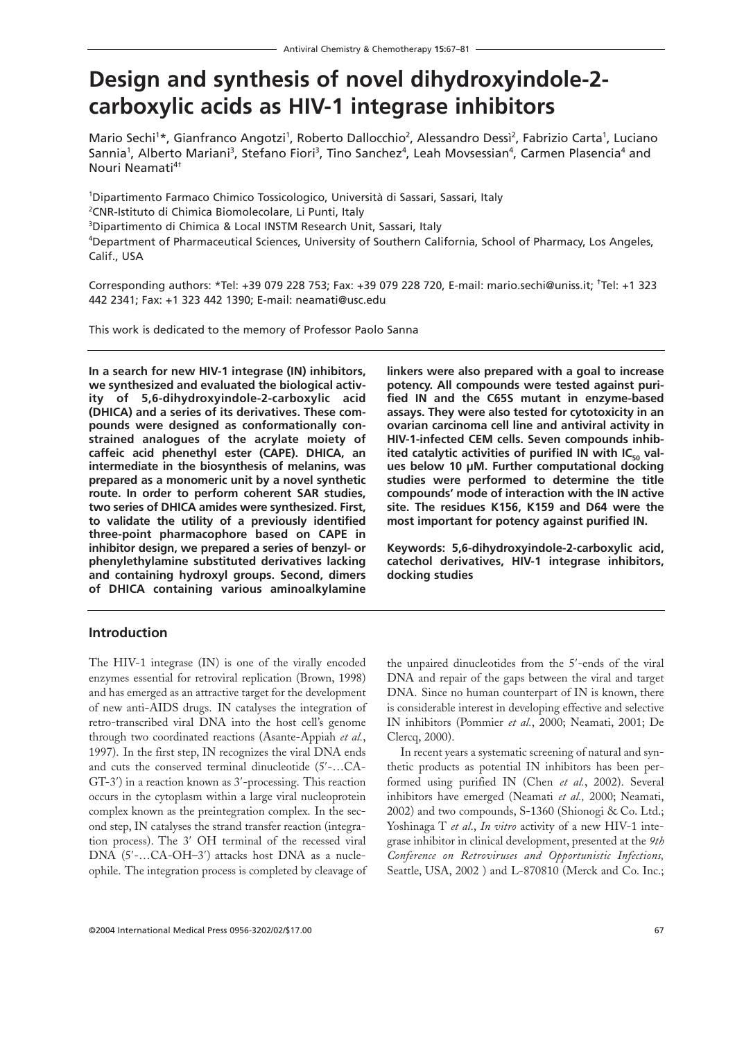# **Design and synthesis of novel dihydroxyindole-2 carboxylic acids as HIV-1 integrase inhibitors**

Mario Sechi<sup>1\*</sup>, Gianfranco Angotzi<sup>1</sup>, Roberto Dallocchio<sup>2</sup>, Alessandro Dessi<sup>2</sup>, Fabrizio Carta<sup>1</sup>, Luciano Sannia<sup>1</sup>, Alberto Mariani<sup>3</sup>, Stefano Fiori<sup>3</sup>, Tino Sanchez<sup>4</sup>, Leah Movsessian<sup>4</sup>, Carmen Plasencia<sup>4</sup> and Nouri Neamati<sup>4†</sup>

 Dipartimento Farmaco Chimico Tossicologico, Università di Sassari, Sassari, Italy CNR-Istituto di Chimica Biomolecolare, Li Punti, Italy Dipartimento di Chimica & Local INSTM Research Unit, Sassari, Italy Department of Pharmaceutical Sciences, University of Southern California, School of Pharmacy, Los Angeles, Calif., USA

Corresponding authors: \*Tel: +39 079 228 753; Fax: +39 079 228 720, E-mail: mario.sechi@uniss.it; † Tel: +1 323 442 2341; Fax: +1 323 442 1390; E-mail: neamati@usc.edu

This work is dedicated to the memory of Professor Paolo Sanna

**In a search for new HIV-1 integrase (IN) inhibitors, we synthesized and evaluated the biological activity of 5,6-dihydroxyindole-2-carboxylic acid (DHICA) and a series of its derivatives. These compounds were designed as conformationally constrained analogues of the acrylate moiety of caffeic acid phenethyl ester (CAPE). DHICA, an intermediate in the biosynthesis of melanins, was prepared as a monomeric unit by a novel synthetic route. In order to perform coherent SAR studies, two series of DHICA amides were synthesized. First, to validate the utility of a previously identified three-point pharmacophore based on CAPE in inhibitor design, we prepared a series of benzyl- or phenylethylamine substituted derivatives lacking and containing hydroxyl groups. Second, dimers of DHICA containing various aminoalkylamine**

The HIV-1 integrase (IN) is one of the virally encoded enzymes essential for retroviral replication (Brown, 1998) and has emerged as an attractive target for the development of new anti-AIDS drugs. IN catalyses the integration of retro-transcribed viral DNA into the host cell's genome through two coordinated reactions (Asante-Appiah *et al.*, 1997). In the first step, IN recognizes the viral DNA ends and cuts the conserved terminal dinucleotide (5′-…CA-GT-3′) in a reaction known as 3′-processing. This reaction occurs in the cytoplasm within a large viral nucleoprotein complex known as the preintegration complex. In the second step, IN catalyses the strand transfer reaction (integration process). The 3′ OH terminal of the recessed viral DNA (5′-…CA-OH–3′) attacks host DNA as a nucleophile. The integration process is completed by cleavage of

**Introduction**

**linkers were also prepared with a goal to increase potency. All compounds were tested against purified IN and the C65S mutant in enzyme-based assays. They were also tested for cytotoxicity in an ovarian carcinoma cell line and antiviral activity in HIV-1-infected CEM cells. Seven compounds inhib**ited catalytic activities of purified IN with IC<sub>50</sub> val**ues below 10 µM. Further computational docking studies were performed to determine the title compounds' mode of interaction with the IN active site. The residues K156, K159 and D64 were the most important for potency against purified IN.**

**Keywords: 5,6-dihydroxyindole-2-carboxylic acid, catechol derivatives, HIV-1 integrase inhibitors, docking studies**

the unpaired dinucleotides from the 5′-ends of the viral DNA and repair of the gaps between the viral and target DNA. Since no human counterpart of IN is known, there is considerable interest in developing effective and selective IN inhibitors (Pommier *et al.*, 2000; Neamati, 2001; De Clercq, 2000).

In recent years a systematic screening of natural and synthetic products as potential IN inhibitors has been performed using purified IN (Chen *et al.*, 2002). Several inhibitors have emerged (Neamati *et al.,* 2000; Neamati, 2002) and two compounds, S-1360 (Shionogi & Co. Ltd.; Yoshinaga T *et al*., *In vitro* activity of a new HIV-1 integrase inhibitor in clinical development, presented at the *9th Conference on Retroviruses and Opportunistic Infections,* Seattle, USA, 2002 ) and L-870810 (Merck and Co. Inc.;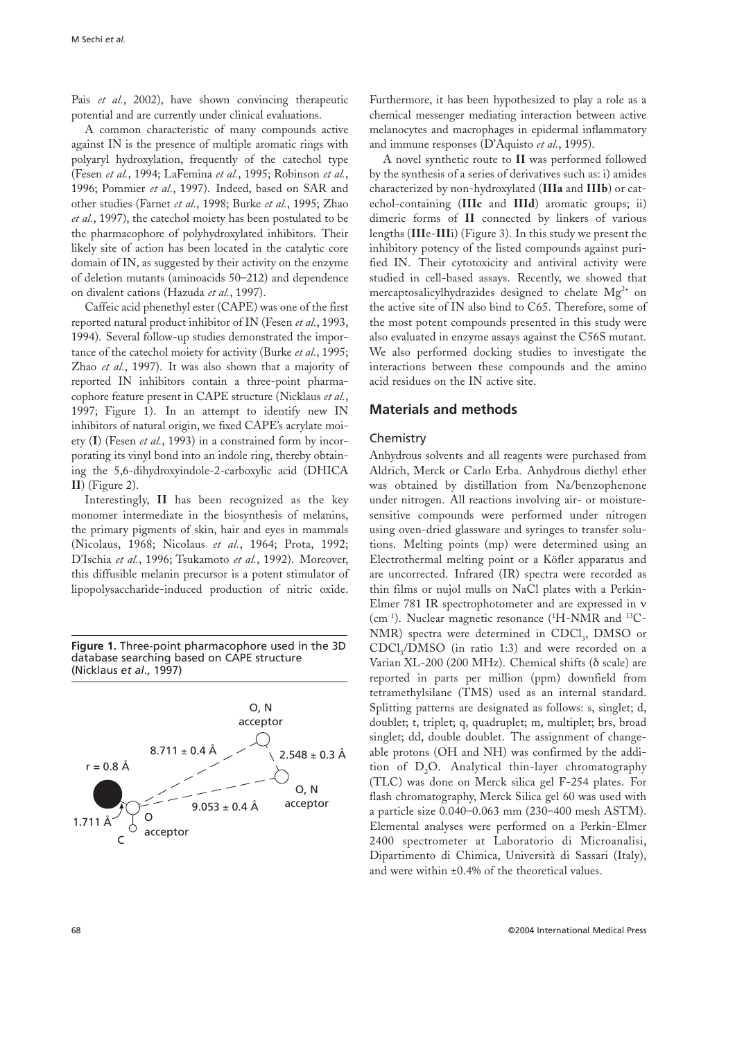Pais *et al.*, 2002), have shown convincing therapeutic potential and are currently under clinical evaluations.

A common characteristic of many compounds active against IN is the presence of multiple aromatic rings with polyaryl hydroxylation, frequently of the catechol type (Fesen *et al.*, 1994; LaFemina *et al.*, 1995; Robinson *et al.*, 1996; Pommier *et al.*, 1997). Indeed, based on SAR and other studies (Farnet *et al.*, 1998; Burke *et al.*, 1995; Zhao *et al.*, 1997), the catechol moiety has been postulated to be the pharmacophore of polyhydroxylated inhibitors. Their likely site of action has been located in the catalytic core domain of IN, as suggested by their activity on the enzyme of deletion mutants (aminoacids 50–212) and dependence on divalent cations (Hazuda *et al.*, 1997).

Caffeic acid phenethyl ester (CAPE) was one of the first reported natural product inhibitor of IN (Fesen *et al.*, 1993, 1994). Several follow-up studies demonstrated the importance of the catechol moiety for activity (Burke *et al.*, 1995; Zhao *et al.*, 1997). It was also shown that a majority of reported IN inhibitors contain a three-point pharmacophore feature present in CAPE structure (Nicklaus *et al.*, 1997; Figure 1). In an attempt to identify new IN inhibitors of natural origin, we fixed CAPE's acrylate moiety (**I**) (Fesen *et al.*, 1993) in a constrained form by incorporating its vinyl bond into an indole ring, thereby obtaining the 5,6-dihydroxyindole-2-carboxylic acid (DHICA **II**) (Figure 2).

Interestingly, **II** has been recognized as the key monomer intermediate in the biosynthesis of melanins, the primary pigments of skin, hair and eyes in mammals (Nicolaus, 1968; Nicolaus *et al.*, 1964; Prota, 1992; D'Ischia *et al.*, 1996; Tsukamoto *et al.*, 1992). Moreover, this diffusible melanin precursor is a potent stimulator of lipopolysaccharide-induced production of nitric oxide.

**Figure 1.** Three-point pharmacophore used in the 3D database searching based on CAPE structure (Nicklaus *et al*., 1997)



Furthermore, it has been hypothesized to play a role as a chemical messenger mediating interaction between active melanocytes and macrophages in epidermal inflammatory and immune responses (D'Aquisto *et al.*, 1995).

A novel synthetic route to **II** was performed followed by the synthesis of a series of derivatives such as: i) amides characterized by non-hydroxylated (**IIIa** and **IIIb**) or catechol-containing (**IIIc** and **IIId**) aromatic groups; ii) dimeric forms of **II** connected by linkers of various lengths (**III**e-**III**i) (Figure 3). In this study we present the inhibitory potency of the listed compounds against purified IN. Their cytotoxicity and antiviral activity were studied in cell-based assays. Recently, we showed that mercaptosalicylhydrazides designed to chelate  $Mg^{2+}$  on the active site of IN also bind to C65. Therefore, some of the most potent compounds presented in this study were also evaluated in enzyme assays against the C56S mutant. We also performed docking studies to investigate the interactions between these compounds and the amino acid residues on the IN active site.

## **Materials and methods**

#### Chemistry

Anhydrous solvents and all reagents were purchased from Aldrich, Merck or Carlo Erba. Anhydrous diethyl ether was obtained by distillation from Na/benzophenone under nitrogen. All reactions involving air- or moisturesensitive compounds were performed under nitrogen using oven-dried glassware and syringes to transfer solutions. Melting points (mp) were determined using an Electrothermal melting point or a Köfler apparatus and are uncorrected. Infrared (IR) spectra were recorded as thin films or nujol mulls on NaCl plates with a Perkin-Elmer 781 IR spectrophotometer and are expressed in ν (cm<sup>-1</sup>). Nuclear magnetic resonance (<sup>1</sup>H-NMR and <sup>13</sup>C-NMR) spectra were determined in CDCl<sub>3</sub>, DMSO or CDCl<sub>2</sub>/DMSO (in ratio 1:3) and were recorded on a Varian XL-200 (200 MHz). Chemical shifts (δ scale) are reported in parts per million (ppm) downfield from tetramethylsilane (TMS) used as an internal standard. Splitting patterns are designated as follows: s, singlet; d, doublet; t, triplet; q, quadruplet; m, multiplet; brs, broad singlet; dd, double doublet. The assignment of changeable protons (OH and NH) was confirmed by the addition of D<sub>2</sub>O. Analytical thin-layer chromatography (TLC) was done on Merck silica gel F-254 plates. For flash chromatography, Merck Silica gel 60 was used with a particle size 0.040–0.063 mm (230–400 mesh ASTM). Elemental analyses were performed on a Perkin-Elmer 2400 spectrometer at Laboratorio di Microanalisi, Dipartimento di Chimica, Università di Sassari (Italy), and were within ±0.4% of the theoretical values.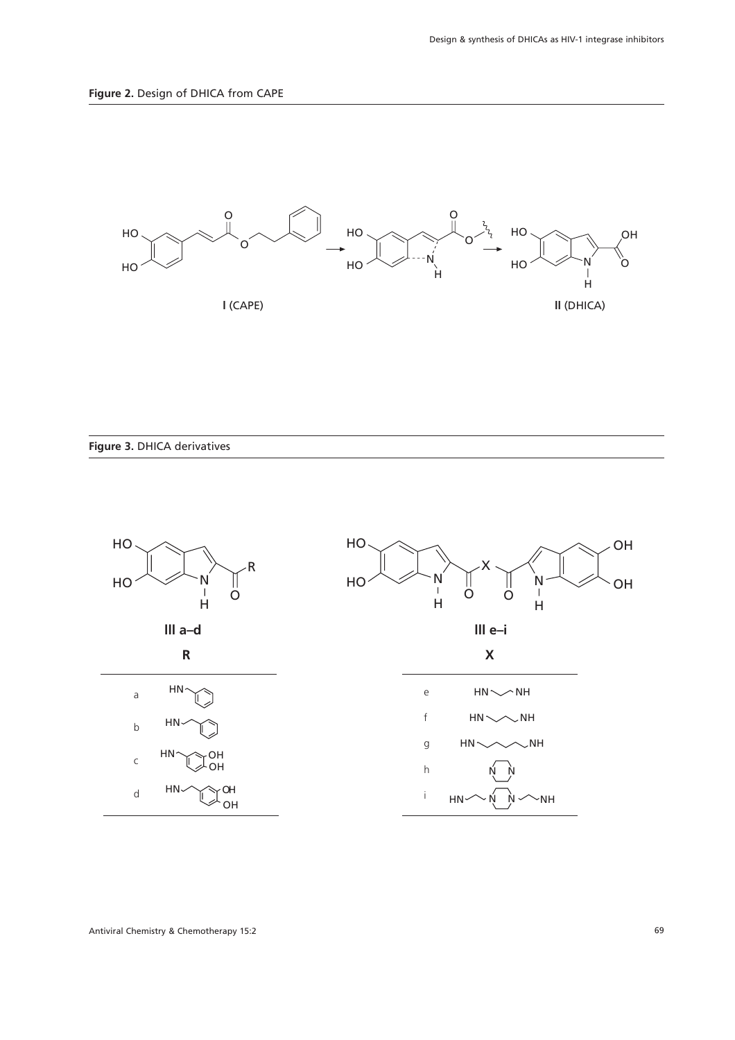

**Figure 3.** DHICA derivatives

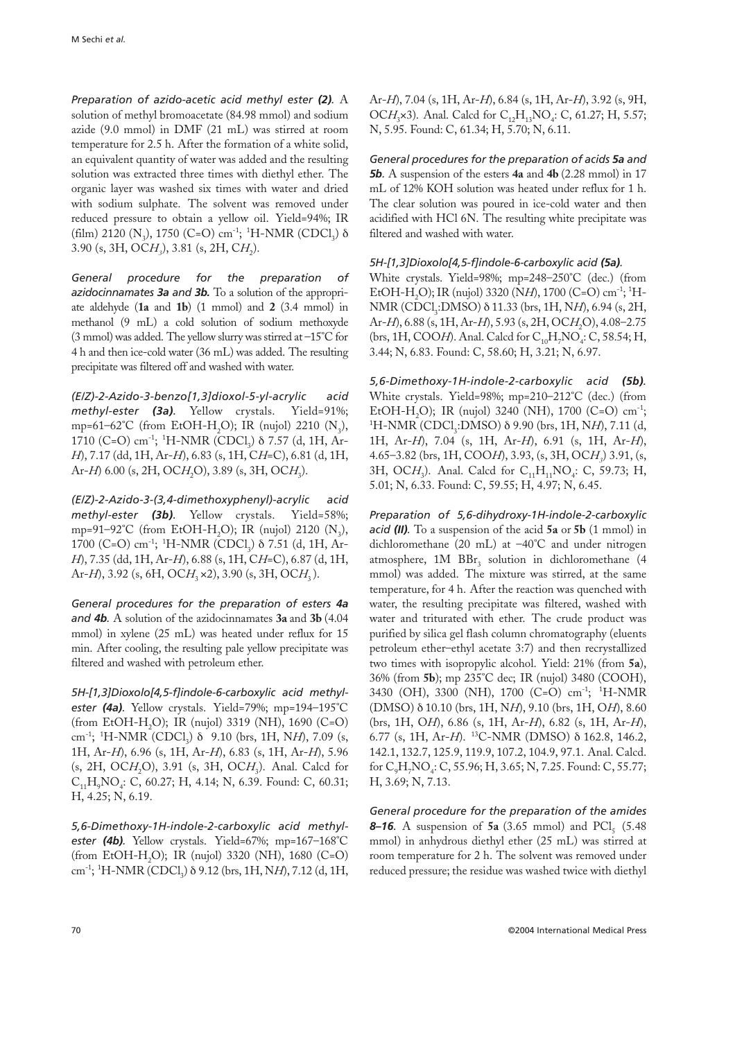*Preparation of azido-acetic acid methyl ester (2).* A solution of methyl bromoacetate (84.98 mmol) and sodium azide (9.0 mmol) in DMF (21 mL) was stirred at room temperature for 2.5 h. After the formation of a white solid, an equivalent quantity of water was added and the resulting solution was extracted three times with diethyl ether. The organic layer was washed six times with water and dried with sodium sulphate. The solvent was removed under reduced pressure to obtain a yellow oil. Yield=94%; IR (film) 2120 (N<sub>3</sub>), 1750 (C=O) cm<sup>-1</sup>; <sup>1</sup>H-NMR (CDCl<sub>3</sub>)  $\delta$ 3.90 (s, 3H, OCH<sub>2</sub>), 3.81 (s, 2H, CH<sub>2</sub>).

*General procedure for the preparation of azidocinnamates 3a and 3b.* To a solution of the appropriate aldehyde (**1a** and **1b**) (1 mmol) and **2** (3.4 mmol) in methanol (9 mL) a cold solution of sodium methoxyde (3 mmol) was added. The yellow slurry was stirred at –15°C for 4 h and then ice-cold water (36 mL) was added. The resulting precipitate was filtered off and washed with water.

*(E/Z)-2-Azido-3-benzo[1,3]dioxol-5-yl-acrylic acid methyl-ester (3a).* Yellow crystals. Yield=91%; mp=61–62°C (from EtOH-H<sub>2</sub>O); IR (nujol) 2210  $(N_2)$ , 1710 (C=O) cm<sup>-1</sup>; <sup>1</sup>H-NMR (CDCl<sub>3</sub>) δ 7.57 (d, 1H, Ar-*H*), 7.17 (dd, 1H, Ar-*H*), 6.83 (s, 1H, C*H*=C), 6.81 (d, 1H, Ar-*H*) 6.00 (s, 2H, OCH<sub>2</sub>O), 3.89 (s, 3H, OCH<sub>3</sub>).

*(E/Z)-2-Azido-3-(3,4-dimethoxyphenyl)-acrylic acid methyl-ester (3b).* Yellow crystals. Yield=58%; mp=91–92°C (from EtOH-H<sub>2</sub>O); IR (nujol) 2120 (N<sub>3</sub>), 1700 (C=O) cm<sup>-1</sup>; <sup>1</sup>H-NMR (CDCl<sub>3</sub>) δ 7.51 (d, 1H, Ar-*H*), 7.35 (dd, 1H, Ar-*H*), 6.88 (s, 1H, C*H*=C), 6.87 (d, 1H, Ar-*H*), 3.92 (s, 6H, OC*H*<sub>3</sub> ×2), 3.90 (s, 3H, OC*H*<sub>3</sub>).

*General procedures for the preparation of esters 4a and 4b.* A solution of the azidocinnamates **3a** and **3b** (4.04 mmol) in xylene (25 mL) was heated under reflux for 15 min. After cooling, the resulting pale yellow precipitate was filtered and washed with petroleum ether.

*5H-[1,3]Dioxolo[4,5-f]indole-6-carboxylic acid methylester (4a).* Yellow crystals. Yield=79%; mp=194–195°C (from EtOH-H2O); IR (nujol) 3319 (NH), 1690 (C=O) cm<sup>-1</sup>; <sup>1</sup>H-NMR (CDCl<sub>3</sub>) δ 9.10 (brs, 1H, N*H*), 7.09 (s, 1H, Ar-*H*), 6.96 (s, 1H, Ar-*H*), 6.83 (s, 1H, Ar-*H*), 5.96 (s, 2H, OCH<sub>2</sub>O), 3.91 (s, 3H, OCH<sub>3</sub>). Anal. Calcd for C<sub>11</sub>H<sub>9</sub>NO<sub>4</sub>: C, 60.27; H, 4.14; N, 6.39. Found: C, 60.31; H, 4.25; N, 6.19.

*5,6-Dimethoxy-1H-indole-2-carboxylic acid methylester (4b).* Yellow crystals. Yield=67%; mp=167–168°C  $(\text{from EtOH-H}_2\text{O}); \text{ IR (nujol)} 3320 \text{ (NH)}, 1680 \text{ (C=O)}$ cm<sup>-1</sup>; <sup>1</sup>H-NMR (CDCl<sub>3</sub>) δ 9.12 (brs, 1H, N*H*), 7.12 (d, 1H,

Ar-*H*), 7.04 (s, 1H, Ar-*H*), 6.84 (s, 1H, Ar-*H*), 3.92 (s, 9H, OCH<sub>3</sub>×3). Anal. Calcd for C<sub>12</sub>H<sub>13</sub>NO<sub>4</sub>: C, 61.27; H, 5.57; N, 5.95. Found: C, 61.34; H, 5.70; N, 6.11.

*General procedures for the preparation of acids 5a and 5b.* A suspension of the esters **4a** and **4b** (2.28 mmol) in 17 mL of 12% KOH solution was heated under reflux for 1 h. The clear solution was poured in ice-cold water and then acidified with HCl 6N. The resulting white precipitate was filtered and washed with water.

*5H-[1,3]Dioxolo[4,5-f]indole-6-carboxylic acid (5a).*

White crystals. Yield=98%; mp=248–250°C (dec.) (from EtOH-H<sub>2</sub>O); IR (nujol) 3320 (NH), 1700 (C=O) cm<sup>-1</sup>; <sup>1</sup>H-NMR (CDCl<sub>3</sub>:DMSO) δ 11.33 (brs, 1H, N*H*), 6.94 (s, 2H, Ar-*H*), 6.88 (s, 1H, Ar-*H*), 5.93 (s, 2H, OC*H*<sub>2</sub>O), 4.08–2.75 (brs, 1H, COO*H*). Anal. Calcd for  $C_{10}H_7NO_4$ : C, 58.54; H, 3.44; N, 6.83. Found: C, 58.60; H, 3.21; N, 6.97.

*5,6-Dimethoxy-1H-indole-2-carboxylic acid (5b).* White crystals. Yield=98%; mp=210–212°C (dec.) (from EtOH-H<sub>2</sub>O); IR (nujol) 3240 (NH), 1700 (C=O) cm<sup>-1</sup>; <sup>1</sup>H-NMR (CDCl<sub>3</sub>:DMSO) δ 9.90 (brs, 1H, N*H*), 7.11 (d, 1H, Ar-*H*), 7.04 (s, 1H, Ar-*H*), 6.91 (s, 1H, Ar-*H*), 4.65–3.82 (brs, 1H, COO*H*), 3.93, (s, 3H, OC*H3*) 3.91, (s, 3H, OCH<sub>3</sub>). Anal. Calcd for C<sub>11</sub>H<sub>11</sub>NO<sub>4</sub>: C, 59.73; H, 5.01; N, 6.33. Found: C, 59.55; H, 4.97; N, 6.45.

*Preparation of 5,6-dihydroxy-1H-indole-2-carboxylic acid (II).* To a suspension of the acid **5a** or **5b** (1 mmol) in dichloromethane (20 mL) at –40°C and under nitrogen atmosphere,  $1M$  BBr<sub>3</sub> solution in dichloromethane (4 mmol) was added. The mixture was stirred, at the same temperature, for 4 h. After the reaction was quenched with water, the resulting precipitate was filtered, washed with water and triturated with ether. The crude product was purified by silica gel flash column chromatography (eluents petroleum ether–ethyl acetate 3:7) and then recrystallized two times with isopropylic alcohol. Yield: 21% (from **5a**), 36% (from **5b**); mp 235°C dec; IR (nujol) 3480 (COOH), 3430 (OH), 3300 (NH), 1700 (C=O) cm-1; <sup>1</sup> H-NMR (DMSO) δ 10.10 (brs, 1H, N*H*), 9.10 (brs, 1H, O*H*), 8.60 (brs, 1H, O*H*), 6.86 (s, 1H, Ar-*H*), 6.82 (s, 1H, Ar-*H*), 6.77 (s, 1H, Ar-*H*). 13C-NMR (DMSO) δ 162.8, 146.2, 142.1, 132.7, 125.9, 119.9, 107.2, 104.9, 97.1. Anal. Calcd. for C<sub>o</sub>H<sub>7</sub>NO<sub>4</sub>: C, 55.96; H, 3.65; N, 7.25. Found: C, 55.77; H, 3.69; N, 7.13.

*General procedure for the preparation of the amides* **8–16***.* A suspension of **5a** (3.65 mmol) and PCl<sub>5</sub> (5.48) mmol) in anhydrous diethyl ether (25 mL) was stirred at room temperature for 2 h. The solvent was removed under reduced pressure; the residue was washed twice with diethyl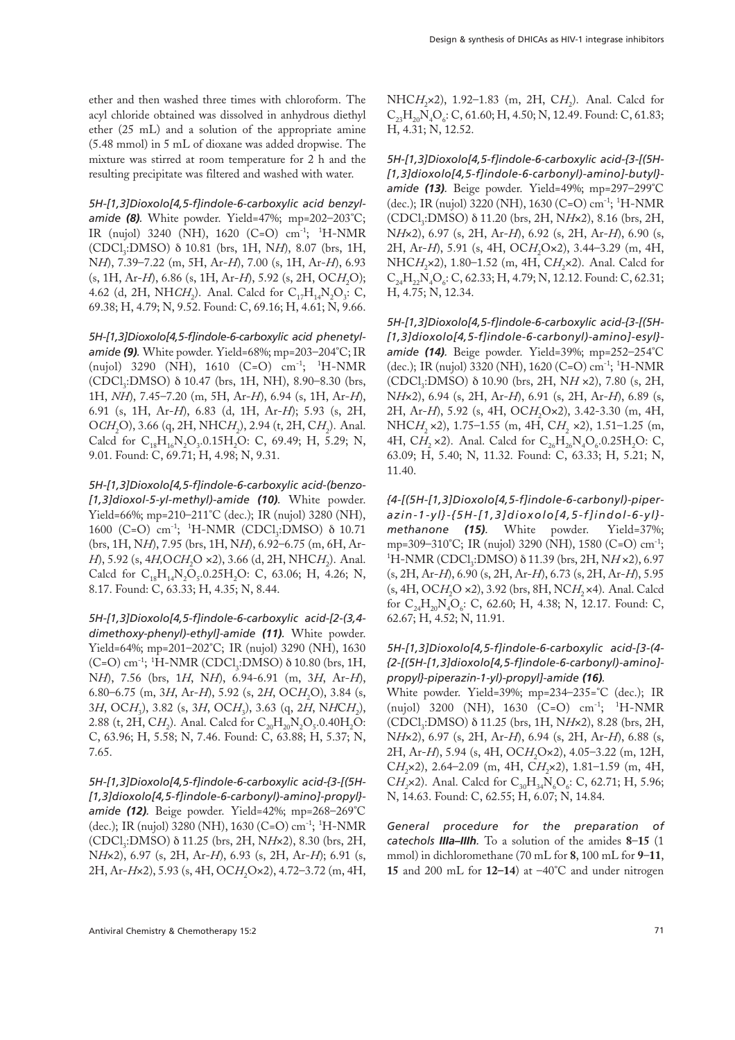ether and then washed three times with chloroform. The acyl chloride obtained was dissolved in anhydrous diethyl ether (25 mL) and a solution of the appropriate amine (5.48 mmol) in 5 mL of dioxane was added dropwise. The mixture was stirred at room temperature for 2 h and the resulting precipitate was filtered and washed with water.

*5H-[1,3]Dioxolo[4,5-f]indole-6-carboxylic acid benzylamide (8).* White powder. Yield=47%; mp=202–203°C; IR (nujol) 3240 (NH), 1620 (C=O) cm-1; <sup>1</sup> H-NMR (CDCl3:DMSO) δ 10.81 (brs, 1H, N*H*), 8.07 (brs, 1H, N*H*), 7.39–7.22 (m, 5H, Ar-*H*), 7.00 (s, 1H, Ar-*H*), 6.93 (s, 1H, Ar-*H*), 6.86 (s, 1H, Ar-*H*), 5.92 (s, 2H, OC*H*<sub>2</sub>O); 4.62 (d, 2H, NH*CH*<sub>2</sub>). Anal. Calcd for C<sub>17</sub>H<sub>14</sub>N<sub>2</sub>O<sub>3</sub>: C, 69.38; H, 4.79; N, 9.52. Found: C, 69.16; H, 4.61; N, 9.66.

*5H-[1,3]Dioxolo[4,5-f]indole-6-carboxylic acid phenetylamide (9).* White powder. Yield=68%; mp=203–204°C; IR (nujol) 3290 (NH), 1610 (C=O) cm<sup>-1</sup>; <sup>1</sup>H-NMR (CDCl<sub>3</sub>:DMSO) δ 10.47 (brs, 1H, NH), 8.90–8.30 (brs, 1H, *NH*), 7.45–7.20 (m, 5H, Ar-*H*), 6.94 (s, 1H, Ar-*H*), 6.91 (s, 1H, Ar-*H*), 6.83 (d, 1H, Ar-*H*); 5.93 (s, 2H, OCH<sub>2</sub>O), 3.66 (q, 2H, NHCH<sub>2</sub>), 2.94 (t, 2H, CH<sub>2</sub>). Anal. Calcd for  $C_{18}H_{16}N_2O_3.0.15H_2O$ : C, 69.49; H, 5.29; N, 9.01. Found: C, 69.71; H, 4.98; N, 9.31.

*5H-[1,3]Dioxolo[4,5-f]indole-6-carboxylic acid-(benzo- [1,3]dioxol-5-yl-methyl)-amide (10).* White powder. Yield=66%; mp=210–211°C (dec.); IR (nujol) 3280 (NH), 1600 (C=O) cm<sup>-1</sup>; <sup>1</sup>H-NMR (CDCl<sub>3</sub>:DMSO) δ 10.71 (brs, 1H, N*H*), 7.95 (brs, 1H, N*H*), 6.92–6.75 (m, 6H, Ar-*H*), 5.92 (s, 4*H*,O*CH*<sub>2</sub>O ×2), 3.66 (d, 2H, NHC*H*<sub>2</sub>). Anal. Calcd for  $C_{18}H_{14}N_2O_5.0.25H_2O$ : C, 63.06; H, 4.26; N, 8.17. Found: C, 63.33; H, 4.35; N, 8.44.

*5H-[1,3]Dioxolo[4,5-f]indole-6-carboxylic acid-[2-(3,4 dimethoxy-phenyl)-ethyl]-amide (11).* White powder. Yield=64%; mp=201–202°C; IR (nujol) 3290 (NH), 1630 (C=O) cm<sup>-1</sup>; <sup>1</sup>H-NMR (CDCl<sub>3</sub>:DMSO)  $\delta$  10.80 (brs, 1H, N*H*), 7.56 (brs, 1*H*, N*H*), 6.94-6.91 (m, 3*H*, Ar-*H*), 6.80–6.75 (m, 3*H*, Ar-*H*), 5.92 (s, 2*H*, OC*H*<sub>2</sub>O), 3.84 (s, 3*H*, OC*H*3), 3.82 (s, 3*H*, OC*H*3), 3.63 (q, 2*H*, N*H*C*H*2), 2.88 (t, 2H, C*H*<sub>2</sub>). Anal. Calcd for  $C_{20}H_{20}N_{2}O_{5}.0.40H_{2}O$ : C, 63.96; H, 5.58; N, 7.46. Found: C, 63.88; H, 5.37; N, 7.65.

*5H-[1,3]Dioxolo[4,5-f]indole-6-carboxylic acid-{3-[(5H- [1,3]dioxolo[4,5-f]indole-6-carbonyl)-amino]-propyl} amide (12).* Beige powder. Yield=42%; mp=268–269°C (dec.); IR (nujol) 3280 (NH), 1630 (C=O) cm<sup>-1</sup>; <sup>1</sup>H-NMR (CDCl3:DMSO) δ 11.25 (brs, 2H, N*H*×2), 8.30 (brs, 2H, N*H*×2), 6.97 (s, 2H, Ar-*H*), 6.93 (s, 2H, Ar-*H*); 6.91 (s, 2H, Ar-*H*×2), 5.93 (s, 4H, OC*H*<sub>2</sub>O×2), 4.72-3.72 (m, 4H,

NHC*H*<sub>2</sub>×2), 1.92-1.83 (m, 2H, C*H*<sub>2</sub>). Anal. Calcd for  $\rm C_{23}H_{20}N_4O_6$ : C, 61.60; H, 4.50; N, 12.49. Found: C, 61.83; H, 4.31; N, 12.52.

*5H-[1,3]Dioxolo[4,5-f]indole-6-carboxylic acid-{3-[(5H- [1,3]dioxolo[4,5-f]indole-6-carbonyl)-amino]-butyl} amide (13).* Beige powder. Yield=49%; mp=297–299°C (dec.); IR (nujol) 3220 (NH), 1630 (C=O) cm-1; <sup>1</sup> H-NMR (CDCl3:DMSO) δ 11.20 (brs, 2H, N*H*×2), 8.16 (brs, 2H, N*H*×2), 6.97 (s, 2H, Ar-*H*), 6.92 (s, 2H, Ar-*H*), 6.90 (s, 2H, Ar-*H*), 5.91 (s, 4H, OC*H*<sub>2</sub>O×2), 3.44-3.29 (m, 4H, NHC*H*<sub>2</sub>×2), 1.80–1.52 (m, 4H, C*H*<sub>2</sub>×2). Anal. Calcd for  $\rm C_{24}H_{22}N_4O_6$ : C, 62.33; H, 4.79; N, 12.12. Found: C, 62.31; H, 4.75; N, 12.34.

*5H-[1,3]Dioxolo[4,5-f]indole-6-carboxylic acid-{3-[(5H- [1,3]dioxolo[4,5-f]indole-6-carbonyl)-amino]-esyl} amide (14).* Beige powder. Yield=39%; mp=252–254°C (dec.); IR (nujol) 3320 (NH), 1620 (C=O) cm-1; <sup>1</sup> H-NMR (CDCl3:DMSO) δ 10.90 (brs, 2H, N*H* ×2), 7.80 (s, 2H, N*H*×2), 6.94 (s, 2H, Ar-*H*), 6.91 (s, 2H, Ar-*H*), 6.89 (s, 2H, Ar-*H*), 5.92 (s, 4H, OC*H*<sub>2</sub>O×2), 3.42-3.30 (m, 4H, NHC*H*<sub>2</sub> ×2), 1.75–1.55 (m, 4H, C*H*<sub>2</sub> ×2), 1.51–1.25 (m,  $4H, C_{12} \times 2$ ). Anal. Calcd for  $C_{26}H_{26}N_4O_6.0.25H_2O$ : C, 63.09; H, 5.40; N, 11.32. Found: C, 63.33; H, 5.21; N, 11.40.

*{4-[(5H-[1,3]Dioxolo[4,5-f]indole-6-carbonyl)-piperazin-1-yl}-{5H-[1,3]dioxolo[4,5-f]indol-6-yl} methanone (15).* White powder. Yield=37%; mp=309–310°C; IR (nujol) 3290 (NH), 1580 (C=O) cm-1; <sup>1</sup>H-NMR (CDCl<sub>3</sub>:DMSO) δ 11.39 (brs, 2H, N*H* ×2), 6.97 (s, 2H, Ar-*H*), 6.90 (s, 2H, Ar-*H*), 6.73 (s, 2H, Ar-*H*), 5.95 (s, 4H, OC*H*<sub>2</sub>O ×2), 3.92 (brs, 8H, NC*H*<sub>2</sub> ×4). Anal. Calcd for  $C_{24}H_{20}N_4O_6$ : C, 62.60; H, 4.38; N, 12.17. Found: C, 62.67; H, 4.52; N, 11.91.

# *5H-[1,3]Dioxolo[4,5-f]indole-6-carboxylic acid-[3-(4- {2-[(5H-[1,3]dioxolo[4,5-f]indole-6-carbonyl)-amino] propyl}-piperazin-1-yl)-propyl]-amide (16).*

White powder. Yield=39%; mp=234–235=°C (dec.); IR (nujol) 3200 (NH), 1630 (C=O) cm-1; <sup>1</sup> H-NMR (CDCl<sub>3</sub>:DMSO) δ 11.25 (brs, 1H, NHx2), 8.28 (brs, 2H, N*H*×2), 6.97 (s, 2H, Ar-*H*), 6.94 (s, 2H, Ar-*H*), 6.88 (s, 2H, Ar-*H*), 5.94 (s, 4H, OC*H*, Ox2), 4.05–3.22 (m, 12H, CH<sub>2</sub>×2), 2.64-2.09 (m, 4H, CH<sub>2</sub>×2), 1.81-1.59 (m, 4H, CH<sub>2</sub>×2). Anal. Calcd for C<sub>30</sub>H<sub>34</sub>N<sub>6</sub>O<sub>6</sub>: C, 62.71; H, 5.96; N, 14.63. Found: C, 62.55; H, 6.07; N, 14.84.

*General procedure for the preparation of catechols IIIa–IIIh.* To a solution of the amides **8**–**15** (1 mmol) in dichloromethane (70 mL for **8**, 100 mL for **9**–**11**, **15** and 200 mL for **12–14**) at –40°C and under nitrogen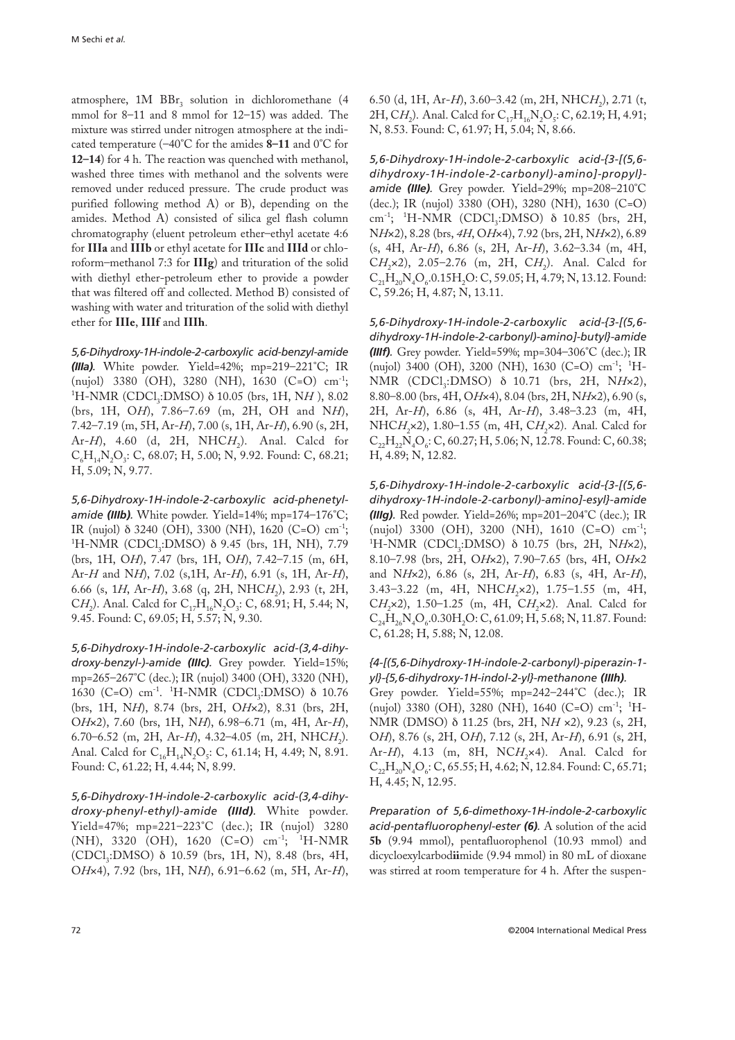atmosphere,  $1M$   $BBr_3$  solution in dichloromethane (4 mmol for 8–11 and 8 mmol for 12–15) was added. The mixture was stirred under nitrogen atmosphere at the indicated temperature (–40°C for the amides **8–11** and 0°C for **12–14**) for 4 h. The reaction was quenched with methanol, washed three times with methanol and the solvents were removed under reduced pressure. The crude product was purified following method A) or B), depending on the amides. Method A) consisted of silica gel flash column chromatography (eluent petroleum ether–ethyl acetate 4:6 for **IIIa** and **IIIb** or ethyl acetate for **IIIc** and **IIId** or chloroform–methanol 7:3 for **IIIg**) and trituration of the solid with diethyl ether-petroleum ether to provide a powder that was filtered off and collected. Method B) consisted of washing with water and trituration of the solid with diethyl ether for **IIIe**, **IIIf** and **IIIh**.

*5,6-Dihydroxy-1H-indole-2-carboxylic acid-benzyl-amide (IIIa).* White powder. Yield=42%; mp=219–221°C; IR (nujol) 3380 (OH), 3280 (NH), 1630 (C=O) cm-1; <sup>1</sup>H-NMR (CDCl<sub>3</sub>:DMSO) δ 10.05 (brs, 1H, N*H*), 8.02 (brs, 1H, O*H*), 7.86–7.69 (m, 2H, OH and N*H*), 7.42–7.19 (m, 5H, Ar-*H*), 7.00 (s, 1H, Ar-*H*), 6.90 (s, 2H, Ar-*H*), 4.60 (d, 2H, NHC*H*<sub>2</sub>). Anal. Calcd for  $C_{6}H_{14}N_{2}O_{3}$ : C, 68.07; H, 5.00; N, 9.92. Found: C, 68.21; H, 5.09; N, 9.77.

*5,6-Dihydroxy-1H-indole-2-carboxylic acid-phenetylamide (IIIb).* White powder. Yield=14%; mp=174–176°C; IR (nujol) δ 3240 (OH), 3300 (NH), 1620 (C=O) cm-1; <sup>1</sup>H-NMR (CDCl<sub>3</sub>:DMSO) δ 9.45 (brs, 1H, NH), 7.79 (brs, 1H, O*H*), 7.47 (brs, 1H, O*H*), 7.42–7.15 (m, 6H, Ar-*H* and N*H*), 7.02 (s,1H, Ar-*H*), 6.91 (s, 1H, Ar-*H*), 6.66 (s, 1H, Ar-H), 3.68 (q, 2H, NHCH<sub>2</sub>), 2.93 (t, 2H, CH<sub>2</sub>). Anal. Calcd for C<sub>17</sub>H<sub>16</sub>N<sub>2</sub>O<sub>3</sub>: C, 68.91; H, 5.44; N, 9.45. Found: C, 69.05; H, 5.57; N, 9.30.

*5,6-Dihydroxy-1H-indole-2-carboxylic acid-(3,4-dihydroxy-benzyl-)-amide (IIIc).* Grey powder. Yield=15%; mp=265–267°C (dec.); IR (nujol) 3400 (OH), 3320 (NH), 1630 (C=O) cm<sup>-1</sup>. <sup>1</sup>H-NMR (CDCl<sub>3</sub>:DMSO) δ 10.76 (brs, 1H, N*H*), 8.74 (brs, 2H, O*H*×2), 8.31 (brs, 2H, O*H*×2), 7.60 (brs, 1H, N*H*), 6.98–6.71 (m, 4H, Ar-*H*), 6.70–6.52 (m, 2H, Ar-*H*), 4.32–4.05 (m, 2H, NHC*H*<sub>2</sub>). Anal. Calcd for  $C_{16}H_{14}N_2O_5$ : C, 61.14; H, 4.49; N, 8.91. Found: C, 61.22; H, 4.44; N, 8.99.

*5,6-Dihydroxy-1H-indole-2-carboxylic acid-(3,4-dihydroxy-phenyl-ethyl)-amide (IIId).* White powder. Yield=47%; mp=221–223°C (dec.); IR (nujol) 3280 (NH), 3320 (OH), 1620 (C=O) cm<sup>-1</sup>; <sup>1</sup>H-NMR (CDCl3:DMSO) δ 10.59 (brs, 1H, N), 8.48 (brs, 4H, O*H*×4), 7.92 (brs, 1H, N*H*), 6.91–6.62 (m, 5H, Ar-*H*), 6.50 (d, 1H, Ar-*H*), 3.60–3.42 (m, 2H, NHC*H*<sub>2</sub>), 2.71 (t, 2H, C*H*<sub>2</sub>). Anal. Calcd for C<sub>17</sub>H<sub>16</sub>N<sub>2</sub>O<sub>5</sub>: C, 62.19; H, 4.91; N, 8.53. Found: C, 61.97; H, 5.04; N, 8.66.

*5,6-Dihydroxy-1H-indole-2-carboxylic acid-{3-[(5,6 dihydroxy-1H-indole-2-carbonyl)-amino]-propyl} amide (IIIe).* Grey powder. Yield=29%; mp=208–210°C (dec.); IR (nujol) 3380 (OH), 3280 (NH), 1630 (C=O) cm<sup>-1</sup>; <sup>1</sup>H-NMR (CDCl<sub>3</sub>:DMSO) δ 10.85 (brs, 2H, N*H*×2), 8.28 (brs, *4H*, O*H*×4), 7.92 (brs, 2H, N*H*×2), 6.89 (s, 4H, Ar-*H*), 6.86 (s, 2H, Ar-*H*), 3.62–3.34 (m, 4H, CH<sub>2</sub>×2), 2.05-2.76 (m, 2H, CH<sub>2</sub>). Anal. Calcd for  $C_{21}H_{20}N_{4}O_{6}.0.15H_{2}O$ : C, 59.05; H,  $4.79$ ; N, 13.12. Found: C, 59.26; H, 4.87; N, 13.11.

*5,6-Dihydroxy-1H-indole-2-carboxylic acid-{3-[(5,6 dihydroxy-1H-indole-2-carbonyl)-amino]-butyl}-amide (IIIf).* Grey powder. Yield=59%; mp=304–306°C (dec.); IR (nujol) 3400 (OH), 3200 (NH), 1630 (C=O) cm<sup>-1</sup>; <sup>1</sup>H-NMR (CDCl<sub>3</sub>:DMSO) δ 10.71 (brs, 2H, NH×2), 8.80–8.00 (brs, 4H, O*H*×4), 8.04 (brs, 2H, N*H*×2), 6.90 (s, 2H, Ar-*H*), 6.86 (s, 4H, Ar-*H*), 3.48–3.23 (m, 4H, NHC*H*<sub>2</sub>×2), 1.80-1.55 (m, 4H, C*H*<sub>2</sub>×2). Anal. Calcd for  $C_{22}H_{22}N_{4}O_{6}$ : C, 60.27; H, 5.06; N, 12.78. Found: C, 60.38; H, 4.89; N, 12.82.

*5,6-Dihydroxy-1H-indole-2-carboxylic acid-{3-[(5,6 dihydroxy-1H-indole-2-carbonyl)-amino]-esyl}-amide (IIIg).* Red powder. Yield=26%; mp=201–204°C (dec.); IR (nujol) 3300 (OH), 3200 (NH), 1610 (C=O) cm-1; <sup>1</sup>H-NMR (CDCl<sub>3</sub>:DMSO) δ 10.75 (brs, 2H, NH×2), 8.10–7.98 (brs, 2H, O*H*×2), 7.90–7.65 (brs, 4H, O*H*×2 and N*H*×2), 6.86 (s, 2H, Ar-*H*), 6.83 (s, 4H, Ar-*H*), 3.43-3.22 (m, 4H, NHC*H*<sub>2</sub>×2), 1.75-1.55 (m, 4H, C*H*<sub>2</sub>×2), 1.50–1.25 (m, 4H, C*H*<sub>2</sub>×2). Anal. Calcd for  $C_{24}H_{26}N_{4}O_{6}$ .0.30H<sub>2</sub>O: C, 61.09; H, 5.68; N, 11.87. Found: C, 61.28; H, 5.88; N, 12.08.

#### *{4-[(5,6-Dihydroxy-1H-indole-2-carbonyl)-piperazin-1 yl}-{5,6-dihydroxy-1H-indol-2-yl}-methanone (IIIh).*

Grey powder. Yield=55%; mp=242–244°C (dec.); IR (nujol) 3380 (OH), 3280 (NH), 1640 (C=O) cm<sup>-1</sup>; <sup>1</sup>H-NMR (DMSO) δ 11.25 (brs, 2H, N*H* ×2), 9.23 (s, 2H, O*H*), 8.76 (s, 2H, O*H*), 7.12 (s, 2H, Ar-*H*), 6.91 (s, 2H, Ar-*H*), 4.13 (m, 8H, NC*H*<sub>2</sub>×4). Anal. Calcd for  $C_{22}H_{20}N_{4}O_{6}$ : C, 65.55; H, 4.62; N, 12.84. Found: C, 65.71; H, 4.45; N, 12.95.

*Preparation of 5,6-dimethoxy-1H-indole-2-carboxylic acid-pentafluorophenyl-ester (6).* A solution of the acid **5b** (9.94 mmol), pentafluorophenol (10.93 mmol) and dicycloexylcarbod**ii**mide (9.94 mmol) in 80 mL of dioxane was stirred at room temperature for 4 h. After the suspen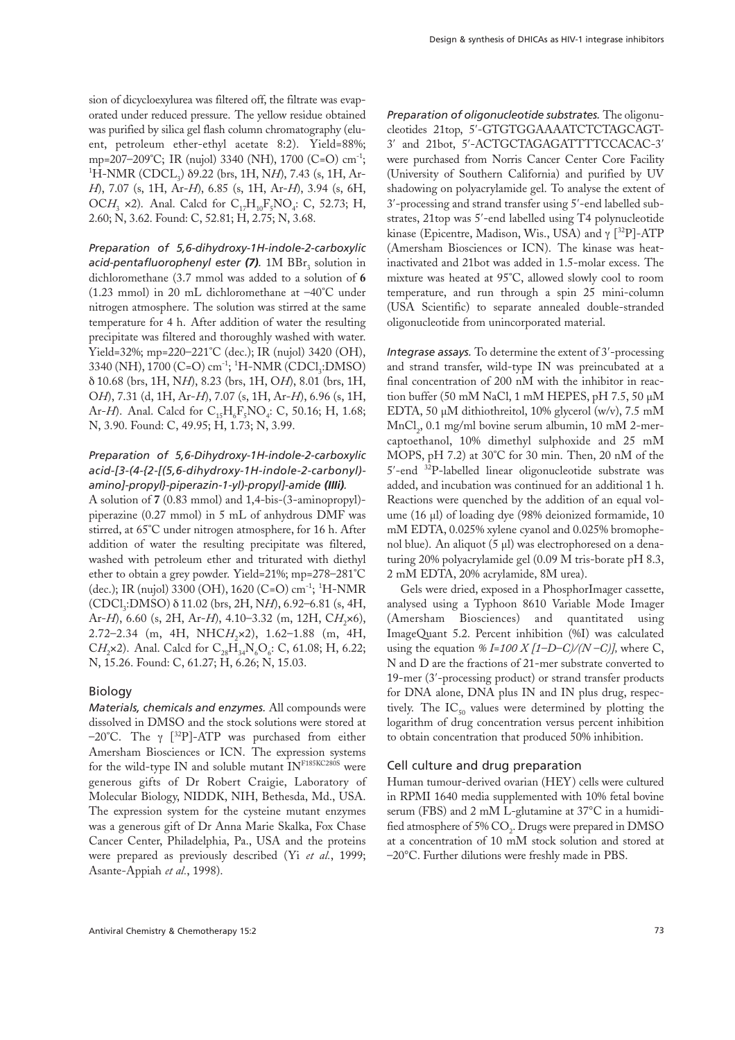sion of dicycloexylurea was filtered off, the filtrate was evaporated under reduced pressure. The yellow residue obtained was purified by silica gel flash column chromatography (eluent, petroleum ether-ethyl acetate 8:2). Yield=88%; mp=207–209°C; IR (nujol) 3340 (NH), 1700 (C=O) cm-1; <sup>1</sup>H-NMR (CDCL<sub>3</sub>) δ9.22 (brs, 1H, N*H*), 7.43 (s, 1H, Ar-*H*), 7.07 (s, 1H, Ar-*H*), 6.85 (s, 1H, Ar-*H*), 3.94 (s, 6H, OCH<sub>3</sub>  $\times$ 2). Anal. Calcd for C<sub>17</sub>H<sub>10</sub>F<sub>5</sub>NO<sub>4</sub>: C, 52.73; H, 2.60; N, 3.62. Found: C, 52.81; H, 2.75; N, 3.68.

*Preparation of 5,6-dihydroxy-1H-indole-2-carboxylic acid-pentafluorophenyl ester* (7). 1M BBr<sub>3</sub> solution in dichloromethane (3.7 mmol was added to a solution of **6** (1.23 mmol) in 20 mL dichloromethane at –40°C under nitrogen atmosphere. The solution was stirred at the same temperature for 4 h. After addition of water the resulting precipitate was filtered and thoroughly washed with water. Yield=32%; mp=220–221°C (dec.); IR (nujol) 3420 (OH), 3340 (NH), 1700 (C=O) cm<sup>-1</sup>; <sup>1</sup>H-NMR (CDCl<sub>3</sub>:DMSO) δ 10.68 (brs, 1H, N*H*), 8.23 (brs, 1H, O*H*), 8.01 (brs, 1H, O*H*), 7.31 (d, 1H, Ar-*H*), 7.07 (s, 1H, Ar-*H*), 6.96 (s, 1H, Ar-*H*). Anal. Calcd for  $C_{15}H_{6}F_{5}NO_{4}$ : C, 50.16; H, 1.68; N, 3.90. Found: C, 49.95; H, 1.73; N, 3.99.

# *Preparation of 5,6-Dihydroxy-1H-indole-2-carboxylic acid-[3-(4-{2-[(5,6-dihydroxy-1H-indole-2-carbonyl) amino]-propyl}-piperazin-1-yl)-propyl]-amide (IIIi).*

A solution of **7** (0.83 mmol) and 1,4-bis-(3-aminopropyl) piperazine (0.27 mmol) in 5 mL of anhydrous DMF was stirred, at 65°C under nitrogen atmosphere, for 16 h. After addition of water the resulting precipitate was filtered, washed with petroleum ether and triturated with diethyl ether to obtain a grey powder. Yield=21%; mp=278–281°C (dec.); IR (nujol) 3300 (OH), 1620 (C=O) cm-1; <sup>1</sup> H-NMR (CDCl3:DMSO) δ 11.02 (brs, 2H, N*H*), 6.92–6.81 (s, 4H, Ar-*H*), 6.60 (s, 2H, Ar-*H*), 4.10–3.32 (m, 12H, C*H*<sub>2</sub>×6), 2.72–2.34 (m, 4H, NHC*H*<sub>2</sub>×2), 1.62–1.88 (m, 4H, CH<sub>2</sub>×2). Anal. Calcd for C<sub>20</sub>H<sub>24</sub>N<sub>c</sub>O<sub>c</sub>: C, 61.08; H, 6.22; N, 15.26. Found: C, 61.27; H, 6.26; N, 15.03.

#### Biology

*Materials, chemicals and enzymes.* All compounds were dissolved in DMSO and the stock solutions were stored at –20°C. The γ [ 32P]-ATP was purchased from either Amersham Biosciences or ICN. The expression systems for the wild-type IN and soluble mutant INF185KC280S were generous gifts of Dr Robert Craigie, Laboratory of Molecular Biology, NIDDK, NIH, Bethesda, Md., USA. The expression system for the cysteine mutant enzymes was a generous gift of Dr Anna Marie Skalka, Fox Chase Cancer Center, Philadelphia, Pa., USA and the proteins were prepared as previously described (Yi *et al.*, 1999; Asante-Appiah *et al.*, 1998).

*Preparation of oligonucleotide substrates.* The oligonucleotides 21top, 5′-GTGTGGAAAATCTCTAGCAGT-3′ and 21bot, 5′-ACTGCTAGAGATTTTCCACAC-3′ were purchased from Norris Cancer Center Core Facility (University of Southern California) and purified by UV shadowing on polyacrylamide gel. To analyse the extent of 3′-processing and strand transfer using 5′-end labelled substrates, 21top was 5′-end labelled using T4 polynucleotide kinase (Epicentre, Madison, Wis., USA) and γ [ 32P]-ATP (Amersham Biosciences or ICN). The kinase was heatinactivated and 21bot was added in 1.5-molar excess. The mixture was heated at 95°C, allowed slowly cool to room temperature, and run through a spin 25 mini-column (USA Scientific) to separate annealed double-stranded oligonucleotide from unincorporated material.

*Integrase assays.* To determine the extent of 3′-processing and strand transfer, wild-type IN was preincubated at a final concentration of 200 nM with the inhibitor in reaction buffer (50 mM NaCl, 1 mM HEPES, pH 7.5, 50 µM EDTA, 50 µM dithiothreitol, 10% glycerol (w/v), 7.5 mM MnCl<sub>3</sub>, 0.1 mg/ml bovine serum albumin, 10 mM 2-mercaptoethanol, 10% dimethyl sulphoxide and 25 mM MOPS, pH 7.2) at 30°C for 30 min. Then, 20 nM of the 5′-end 32P-labelled linear oligonucleotide substrate was added, and incubation was continued for an additional 1 h. Reactions were quenched by the addition of an equal volume (16 µl) of loading dye (98% deionized formamide, 10 mM EDTA, 0.025% xylene cyanol and 0.025% bromophenol blue). An aliquot (5 µl) was electrophoresed on a denaturing 20% polyacrylamide gel (0.09 M tris-borate pH 8.3, 2 mM EDTA, 20% acrylamide, 8M urea).

Gels were dried, exposed in a PhosphorImager cassette, analysed using a Typhoon 8610 Variable Mode Imager (Amersham Biosciences) and quantitated using ImageQuant 5.2. Percent inhibition (%I) was calculated using the equation  $\%$  *I=100 X [1–D–C)/(N–C)]*, where C, N and D are the fractions of 21-mer substrate converted to 19-mer (3′-processing product) or strand transfer products for DNA alone, DNA plus IN and IN plus drug, respectively. The  $IC_{50}$  values were determined by plotting the logarithm of drug concentration versus percent inhibition to obtain concentration that produced 50% inhibition.

#### Cell culture and drug preparation

Human tumour-derived ovarian (HEY) cells were cultured in RPMI 1640 media supplemented with 10% fetal bovine serum (FBS) and 2 mM L-glutamine at 37°C in a humidified atmosphere of 5%  $\text{CO}_2$ . Drugs were prepared in DMSO at a concentration of 10 mM stock solution and stored at –20°C. Further dilutions were freshly made in PBS.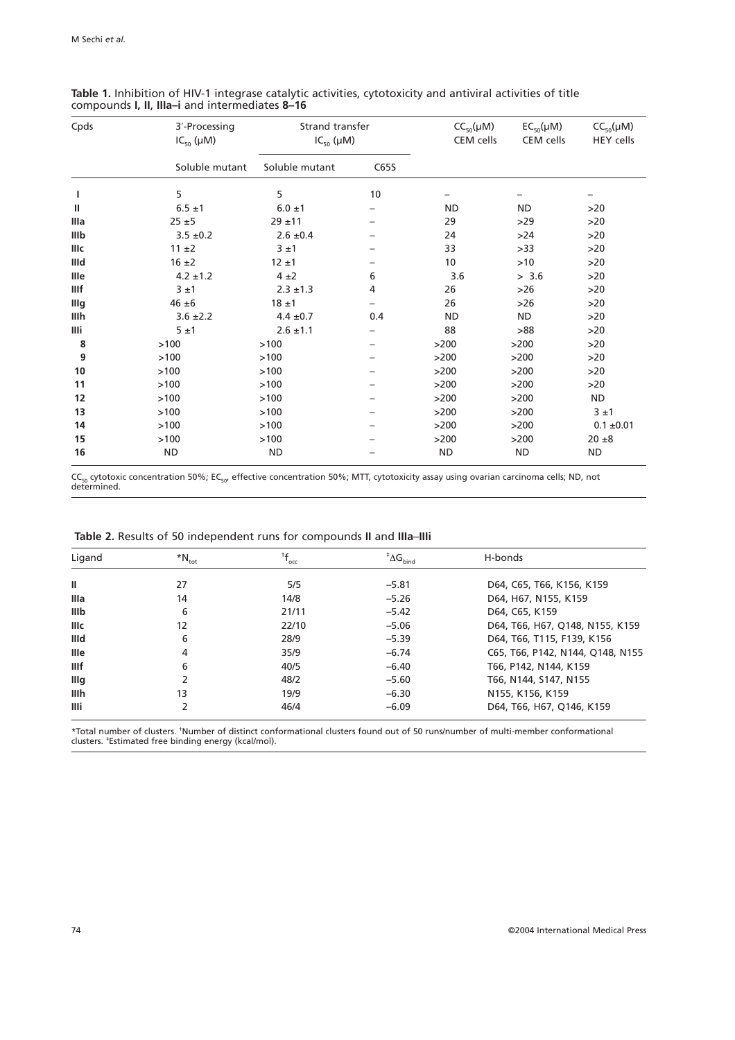| Cpds | 3'-Processing<br>$IC_{50}(\mu M)$ | Strand transfer<br>$IC_{50} (\mu M)$ |      | $CC_{50}(\mu M)$<br>CEM cells | $EC_{50}(\mu M)$<br>CEM cells | $CC_{50}(\mu M)$<br><b>HEY</b> cells |
|------|-----------------------------------|--------------------------------------|------|-------------------------------|-------------------------------|--------------------------------------|
|      | Soluble mutant                    | Soluble mutant                       | C65S |                               |                               |                                      |
| ı    | 5                                 | 5                                    | 10   |                               |                               |                                      |
| Ш    | $6.5 \pm 1$                       | $6.0 \pm 1$                          |      | <b>ND</b>                     | <b>ND</b>                     | >20                                  |
| Illa | $25 + 5$                          | $29 + 11$                            |      | 29                            | $>29$                         | >20                                  |
| IIIb | $3.5 \pm 0.2$                     | $2.6 \pm 0.4$                        |      | 24                            | >24                           | >20                                  |
| Illc | $11 \pm 2$                        | 3±1                                  |      | 33                            | >33                           | >20                                  |
| IIId | $16 \pm 2$                        | $12 \pm 1$                           |      | 10                            | >10                           | >20                                  |
| Ille | $4.2 \pm 1.2$                     | 4±2                                  | 6    | 3.6                           | > 3.6                         | >20                                  |
| IIIf | 3±1                               | $2.3 \pm 1.3$                        | 4    | 26                            | $>26$                         | >20                                  |
| Illg | $46 \pm 6$                        | $18 + 1$                             |      | 26                            | $>26$                         | >20                                  |
| IIIh | $3.6 \pm 2.2$                     | $4.4 \pm 0.7$                        | 0.4  | <b>ND</b>                     | <b>ND</b>                     | $>20$                                |
| IIIi | 5±1                               | $2.6 \pm 1.1$                        |      | 88                            | >88                           | >20                                  |
| 8    | >100                              | >100                                 |      | >200                          | >200                          | >20                                  |
| 9    | >100                              | >100                                 |      | $>200$                        | >200                          | >20                                  |
| 10   | >100                              | >100                                 |      | $>200$                        | >200                          | >20                                  |
| 11   | >100                              | >100                                 |      | >200                          | >200                          | >20                                  |
| 12   | >100                              | >100                                 |      | >200                          | $>200$                        | <b>ND</b>                            |
| 13   | >100                              | >100                                 |      | $>200$                        | >200                          | 3±1                                  |
| 14   | >100                              | >100                                 |      | $>200$                        | >200                          | $0.1 \pm 0.01$                       |
| 15   | >100                              | >100                                 |      | >200                          | >200                          | $20 \pm 8$                           |
| 16   | <b>ND</b>                         | <b>ND</b>                            |      | <b>ND</b>                     | <b>ND</b>                     | <b>ND</b>                            |

**Table 1.** Inhibition of HIV-1 integrase catalytic activities, cytotoxicity and antiviral activities of title compounds **I, II**, **IIIa–i** and intermediates **8–16**

CC<sub>50</sub> cytotoxic concentration 50%; EC<sub>50</sub>, effective concentration 50%; MTT, cytotoxicity assay using ovarian carcinoma cells; ND, not<br>determined.

| Ligand      | $\mathrm{*N_{tot}}$ | $f_{\rm occ}$ | $\mathbf{A}$ <sup>+</sup> $\Delta$ <b>G</b> <sub>bind</sub> | H-bonds                          |
|-------------|---------------------|---------------|-------------------------------------------------------------|----------------------------------|
| Ш           | 27                  | 5/5           | $-5.81$                                                     | D64, C65, T66, K156, K159        |
| Illa        | 14                  | 14/8          | $-5.26$                                                     | D64, H67, N155, K159             |
| <b>IIIb</b> | 6                   | 21/11         | $-5.42$                                                     | D64, C65, K159                   |
| <b>Illc</b> | 12                  | 22/10         | $-5.06$                                                     | D64, T66, H67, Q148, N155, K159  |
| IIId        | 6                   | 28/9          | $-5.39$                                                     | D64, T66, T115, F139, K156       |
| <b>Ille</b> | 4                   | 35/9          | $-6.74$                                                     | C65, T66, P142, N144, Q148, N155 |
| <b>IIIf</b> | 6                   | 40/5          | $-6.40$                                                     | T66, P142, N144, K159            |
| Illg        |                     | 48/2          | $-5.60$                                                     | T66, N144, S147, N155            |
| <b>IIIh</b> | 13                  | 19/9          | $-6.30$                                                     | N155, K156, K159                 |
| IIIi        |                     | 46/4          | $-6.09$                                                     | D64, T66, H67, Q146, K159        |

\*Total number of clusters. † Number of distinct conformational clusters found out of 50 runs/number of multi-member conformational clusters. ‡ Estimated free binding energy (kcal/mol).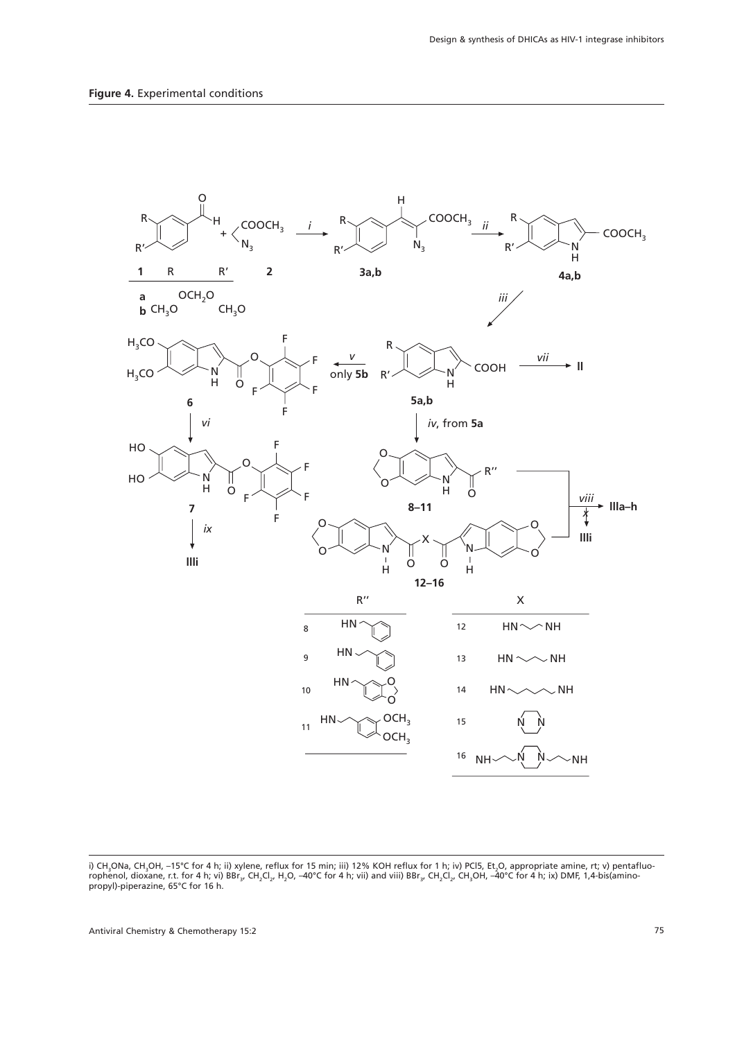

i) CH<sub>3</sub>ONa, CH<sub>3</sub>OH, –15°C for 4 h; ii) xylene, reflux for 15 min; iii) 12% KOH reflux for 1 h; iv) PCl5, Et<sub>2</sub>O, appropriate amine, rt; v) pentafluorophenol, dioxane, r.t. for 4 h; vi) BBr<sub>3</sub>, CH<sub>2</sub>Cl<sub>2</sub>, H<sub>2</sub>O, –40°C for 4 h; vii) and viii) BBr<sub>3</sub>, CH<sub>2</sub>Cl<sub>2</sub>, CH<sub>3</sub>OH, –40°C for 4 h; ix) DMF, 1,4-bis(amino-<br>propyl)-piperazine, 65°C for 16 h.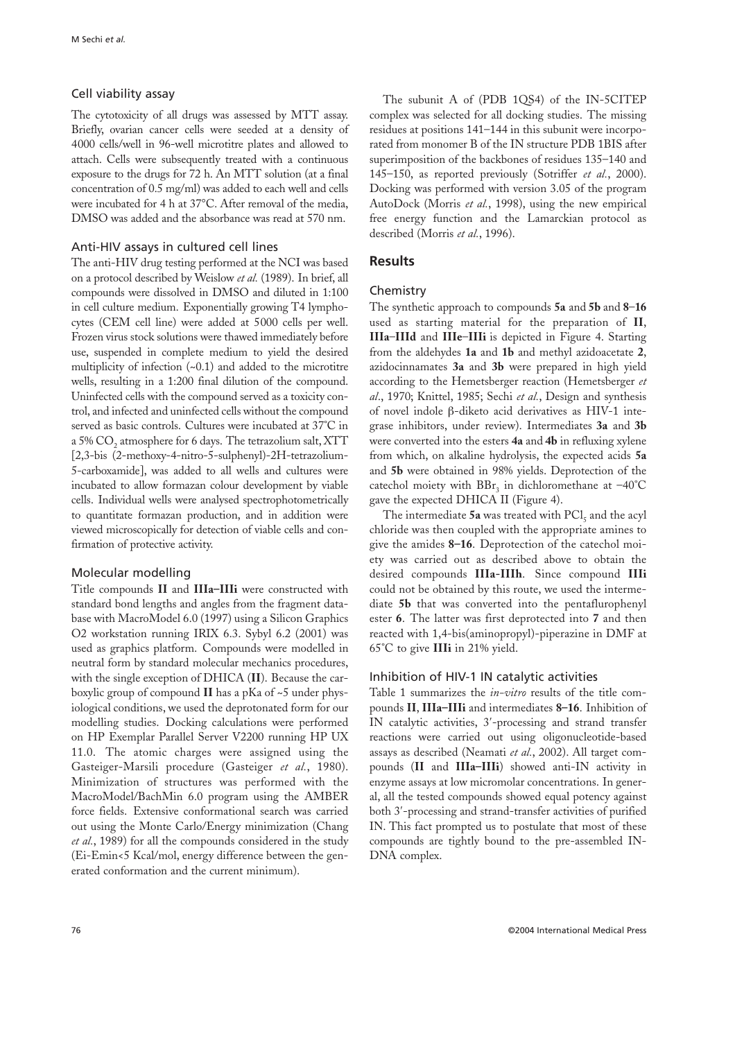# Cell viability assay

The cytotoxicity of all drugs was assessed by MTT assay. Briefly, ovarian cancer cells were seeded at a density of 4000 cells/well in 96-well microtitre plates and allowed to attach. Cells were subsequently treated with a continuous exposure to the drugs for 72 h. An MTT solution (at a final concentration of 0.5 mg/ml) was added to each well and cells were incubated for 4 h at 37°C. After removal of the media, DMSO was added and the absorbance was read at 570 nm.

# Anti-HIV assays in cultured cell lines

The anti-HIV drug testing performed at the NCI was based on a protocol described by Weislow *et al.* (1989). In brief, all compounds were dissolved in DMSO and diluted in 1:100 in cell culture medium. Exponentially growing T4 lymphocytes (CEM cell line) were added at 5000 cells per well. Frozen virus stock solutions were thawed immediately before use, suspended in complete medium to yield the desired multiplicity of infection  $(-0.1)$  and added to the microtitre wells, resulting in a 1:200 final dilution of the compound. Uninfected cells with the compound served as a toxicity control, and infected and uninfected cells without the compound served as basic controls. Cultures were incubated at 37°C in a 5% CO<sub>2</sub> atmosphere for 6 days. The tetrazolium salt, XTT [2,3-bis (2-methoxy-4-nitro-5-sulphenyl)-2H-tetrazolium-5-carboxamide], was added to all wells and cultures were incubated to allow formazan colour development by viable cells. Individual wells were analysed spectrophotometrically to quantitate formazan production, and in addition were viewed microscopically for detection of viable cells and confirmation of protective activity.

## Molecular modelling

Title compounds **II** and **IIIa–IIIi** were constructed with standard bond lengths and angles from the fragment database with MacroModel 6.0 (1997) using a Silicon Graphics O2 workstation running IRIX 6.3. Sybyl 6.2 (2001) was used as graphics platform. Compounds were modelled in neutral form by standard molecular mechanics procedures, with the single exception of DHICA (**II**). Because the carboxylic group of compound **II** has a pKa of ~5 under physiological conditions, we used the deprotonated form for our modelling studies. Docking calculations were performed on HP Exemplar Parallel Server V2200 running HP UX 11.0. The atomic charges were assigned using the Gasteiger-Marsili procedure (Gasteiger *et al.*, 1980). Minimization of structures was performed with the MacroModel/BachMin 6.0 program using the AMBER force fields. Extensive conformational search was carried out using the Monte Carlo/Energy minimization (Chang *et al.*, 1989) for all the compounds considered in the study (Ei-Emin<5 Kcal/mol, energy difference between the generated conformation and the current minimum).

The subunit A of (PDB 1QS4) of the IN-5CITEP complex was selected for all docking studies. The missing residues at positions 141–144 in this subunit were incorporated from monomer B of the IN structure PDB 1BIS after superimposition of the backbones of residues 135–140 and 145–150, as reported previously (Sotriffer *et al.*, 2000). Docking was performed with version 3.05 of the program AutoDock (Morris *et al.*, 1998), using the new empirical free energy function and the Lamarckian protocol as described (Morris *et al.*, 1996).

# **Results**

## Chemistry

The synthetic approach to compounds **5a** and **5b** and **8**–**16** used as starting material for the preparation of **II**, **IIIa**–**IIId** and **IIIe**–**IIIi** is depicted in Figure 4. Starting from the aldehydes **1a** and **1b** and methyl azidoacetate **2**, azidocinnamates **3a** and **3b** were prepared in high yield according to the Hemetsberger reaction (Hemetsberger *et al*., 1970; Knittel, 1985; Sechi *et al.*, Design and synthesis of novel indole β-diketo acid derivatives as HIV-1 integrase inhibitors, under review). Intermediates **3a** and **3b** were converted into the esters **4a** and **4b** in refluxing xylene from which, on alkaline hydrolysis, the expected acids **5a** and **5b** were obtained in 98% yields. Deprotection of the catechol moiety with  $BBr<sub>3</sub>$  in dichloromethane at  $-40^{\circ}$ C gave the expected DHICA II (Figure 4).

The intermediate 5a was treated with PCl<sub>z</sub> and the acyl chloride was then coupled with the appropriate amines to give the amides **8–16**. Deprotection of the catechol moiety was carried out as described above to obtain the desired compounds **IIIa-IIIh**. Since compound **IIIi** could not be obtained by this route, we used the intermediate **5b** that was converted into the pentaflurophenyl ester **6**. The latter was first deprotected into **7** and then reacted with 1,4-bis(aminopropyl)-piperazine in DMF at 65°C to give **IIIi** in 21% yield.

## Inhibition of HIV-1 IN catalytic activities

Table 1 summarizes the *in-vitro* results of the title compounds **II**, **IIIa–IIIi** and intermediates **8–16**. Inhibition of IN catalytic activities, 3′-processing and strand transfer reactions were carried out using oligonucleotide-based assays as described (Neamati *et al.*, 2002). All target compounds (**II** and **IIIa–IIIi**) showed anti-IN activity in enzyme assays at low micromolar concentrations. In general, all the tested compounds showed equal potency against both 3′-processing and strand-transfer activities of purified IN. This fact prompted us to postulate that most of these compounds are tightly bound to the pre-assembled IN-DNA complex.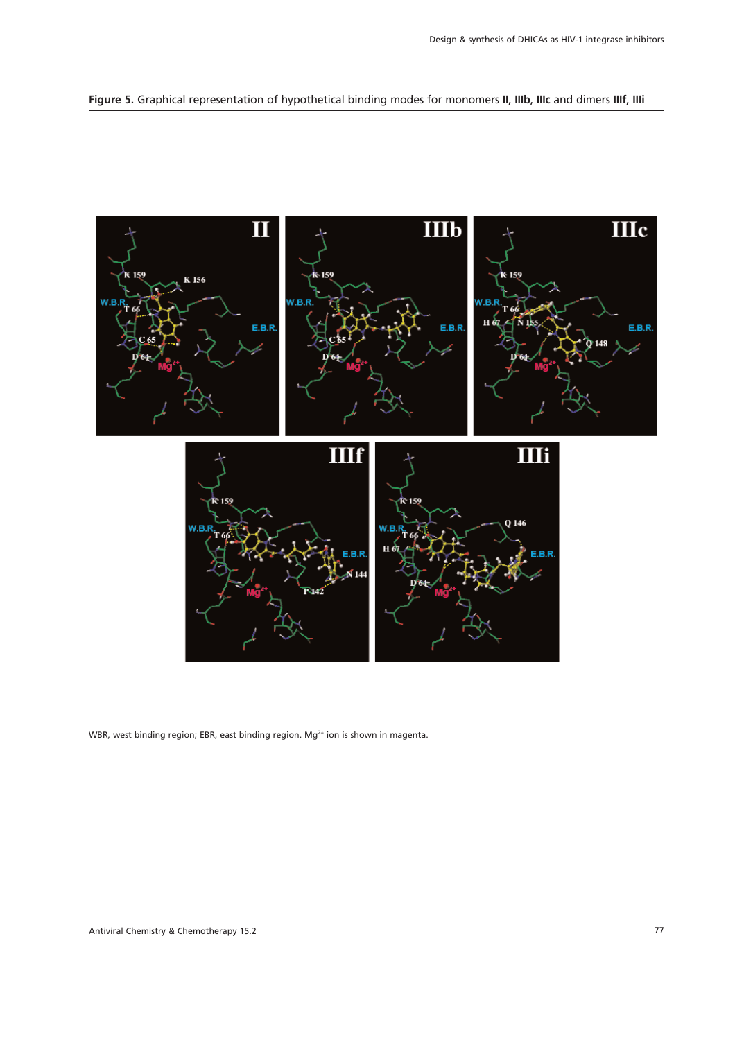**Figure 5.** Graphical representation of hypothetical binding modes for monomers **II**, **IIIb**, **IIIc** and dimers **IIIf**, **IIIi**



WBR, west binding region; EBR, east binding region. Mg<sup>2+</sup> ion is shown in magenta.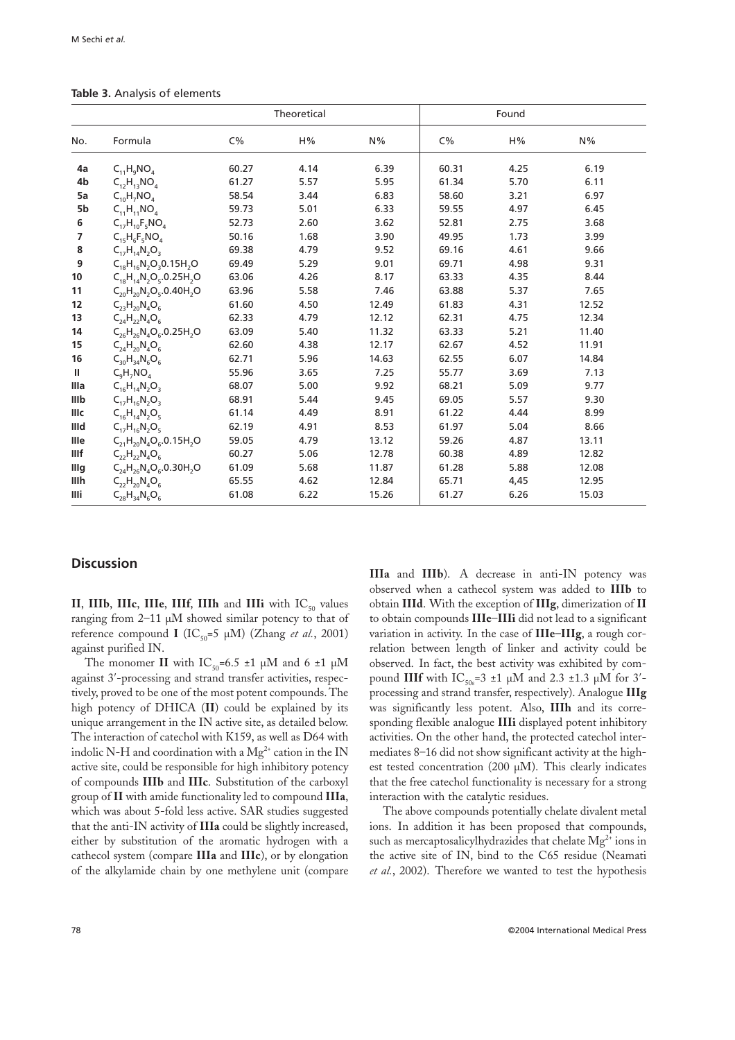|  |  | Table 3. Analysis of elements |
|--|--|-------------------------------|
|  |  |                               |

|                  |                                     | Theoretical    |      |       |       |      |       |
|------------------|-------------------------------------|----------------|------|-------|-------|------|-------|
| No.              | Formula                             | $C\%$          | H%   | N%    | $C\%$ | H%   | N%    |
| 4a               | $C_{11}H_9NO_4$                     | 60.27          | 4.14 | 6.39  | 60.31 | 4.25 | 6.19  |
| 4b               | $C_{12}H_{13}NO_4$                  | 61.27          | 5.57 | 5.95  | 61.34 | 5.70 | 6.11  |
| 5a               | $C_{10}H_7NO_4$                     | 58.54          | 3.44 | 6.83  | 58.60 | 3.21 | 6.97  |
| 5b               | $C_{11}H_{11}NO_4$                  | 59.73          | 5.01 | 6.33  | 59.55 | 4.97 | 6.45  |
| 6                | $C_{17}H_{10}F_5NO_4$               | 52.73          | 2.60 | 3.62  | 52.81 | 2.75 | 3.68  |
| 7                | $C_{15}H_{6}F_{5}NO_{4}$            | 50.16          | 1.68 | 3.90  | 49.95 | 1.73 | 3.99  |
| 8                | $C_{12}H_{14}N_{2}O_{3}$            | 69.38          | 4.79 | 9.52  | 69.16 | 4.61 | 9.66  |
| $\boldsymbol{9}$ | $C_{18}H_{16}N_2O_3O.15H_2O$        | 69.49          | 5.29 | 9.01  | 69.71 | 4.98 | 9.31  |
| 10               | $C_{18}H_{14}N_2O_5.0.25H_2O$ 63.06 |                | 4.26 | 8.17  | 63.33 | 4.35 | 8.44  |
| 11               | $C_{20}H_{20}N_2O_5.0.40H_2O$ 63.96 |                | 5.58 | 7.46  | 63.88 | 5.37 | 7.65  |
| 12               | $C_{23}H_{20}N_4O_6$                | 61.60<br>62.33 | 4.50 | 12.49 | 61.83 | 4.31 | 12.52 |
| 13               | $C_{24}H_{22}N_{4}O_{6}$            |                | 4.79 | 12.12 | 62.31 | 4.75 | 12.34 |
| 14               | $C_{26}H_{26}N_4O_6.0.25H_2O$       | 63.09          | 5.40 | 11.32 | 63.33 | 5.21 | 11.40 |
| 15               | $C_{24}H_{20}N_{4}O_{6}$            | 62.60          | 4.38 | 12.17 | 62.67 | 4.52 | 11.91 |
| 16               | $C_{30}H_{34}N_{6}O_{6}$            | 62.71          | 5.96 | 14.63 | 62.55 | 6.07 | 14.84 |
| $\mathbf{H}$     | $C_{\alpha}H_{7}NO_{A}$             | 55.96          | 3.65 | 7.25  | 55.77 | 3.69 | 7.13  |
| Illa             | $C_{16}H_{14}N_2O_3$                | 68.07          | 5.00 | 9.92  | 68.21 | 5.09 | 9.77  |
| IIIb             | $C_{17}H_{16}N_2O_3$                | 68.91          | 5.44 | 9.45  | 69.05 | 5.57 | 9.30  |
| IIIc             | $C_{16}H_{14}N_2O_5$                | 61.14          | 4.49 | 8.91  | 61.22 | 4.44 | 8.99  |
| IIId             | $C_{17}H_{16}N_2O_5$                | 62.19          | 4.91 | 8.53  | 61.97 | 5.04 | 8.66  |
| Ille             | $C_{21}H_{20}N_4O_6.0.15H_2O$       | 59.05          | 4.79 | 13.12 | 59.26 | 4.87 | 13.11 |
| <b>IIIf</b>      | $C_{22}H_{22}N_{4}O_{6}$            | 60.27          | 5.06 | 12.78 | 60.38 | 4.89 | 12.82 |
| Illg             | $C_{24}H_{26}N_4O_6.0.30H_2O$       | 61.09          | 5.68 | 11.87 | 61.28 | 5.88 | 12.08 |
| IIIh             | $C_{22}H_{20}N_{4}O_{6}$            | 65.55          | 4.62 | 12.84 | 65.71 | 4,45 | 12.95 |
| IIIi             | $C_{28}H_{34}N_6O_6$                | 61.08          | 6.22 | 15.26 | 61.27 | 6.26 | 15.03 |

## **Discussion**

**II**, **IIIb**, **IIIc**, **IIIf**, **IIIh** and **IIIi** with  $IC_{50}$  values ranging from 2–11 µM showed similar potency to that of reference compound **I** ( $IC_{50} = 5 \mu M$ ) (Zhang *et al.*, 2001) against purified IN.

The monomer **II** with  $IC_{50}=6.5 \pm 1 \mu M$  and 6  $\pm 1 \mu M$ against 3′-processing and strand transfer activities, respectively, proved to be one of the most potent compounds. The high potency of DHICA (**II**) could be explained by its unique arrangement in the IN active site, as detailed below. The interaction of catechol with K159, as well as D64 with indolic N-H and coordination with a  $Mg^{2+}$  cation in the IN active site, could be responsible for high inhibitory potency of compounds **IIIb** and **IIIc**. Substitution of the carboxyl group of **II** with amide functionality led to compound **IIIa**, which was about 5-fold less active. SAR studies suggested that the anti-IN activity of **IIIa** could be slightly increased, either by substitution of the aromatic hydrogen with a cathecol system (compare **IIIa** and **IIIc**), or by elongation of the alkylamide chain by one methylene unit (compare

**IIIa** and **IIIb**). A decrease in anti-IN potency was observed when a cathecol system was added to **IIIb** to obtain **IIId**. With the exception of **IIIg**, dimerization of **II** to obtain compounds **IIIe**–**IIIi** did not lead to a significant variation in activity. In the case of **IIIe**–**IIIg**, a rough correlation between length of linker and activity could be observed. In fact, the best activity was exhibited by compound **IIIf** with  $IC_{50s} = 3 \pm 1 \mu M$  and 2.3  $\pm 1.3 \mu M$  for 3<sup>'</sup>processing and strand transfer, respectively). Analogue **IIIg** was significantly less potent. Also, **IIIh** and its corresponding flexible analogue **IIIi** displayed potent inhibitory activities. On the other hand, the protected catechol intermediates 8–16 did not show significant activity at the highest tested concentration (200  $\mu$ M). This clearly indicates that the free catechol functionality is necessary for a strong interaction with the catalytic residues.

The above compounds potentially chelate divalent metal ions. In addition it has been proposed that compounds, such as mercaptosalicylhydrazides that chelate  $Mg^{2+}$  ions in the active site of IN, bind to the C65 residue (Neamati *et al.*, 2002). Therefore we wanted to test the hypothesis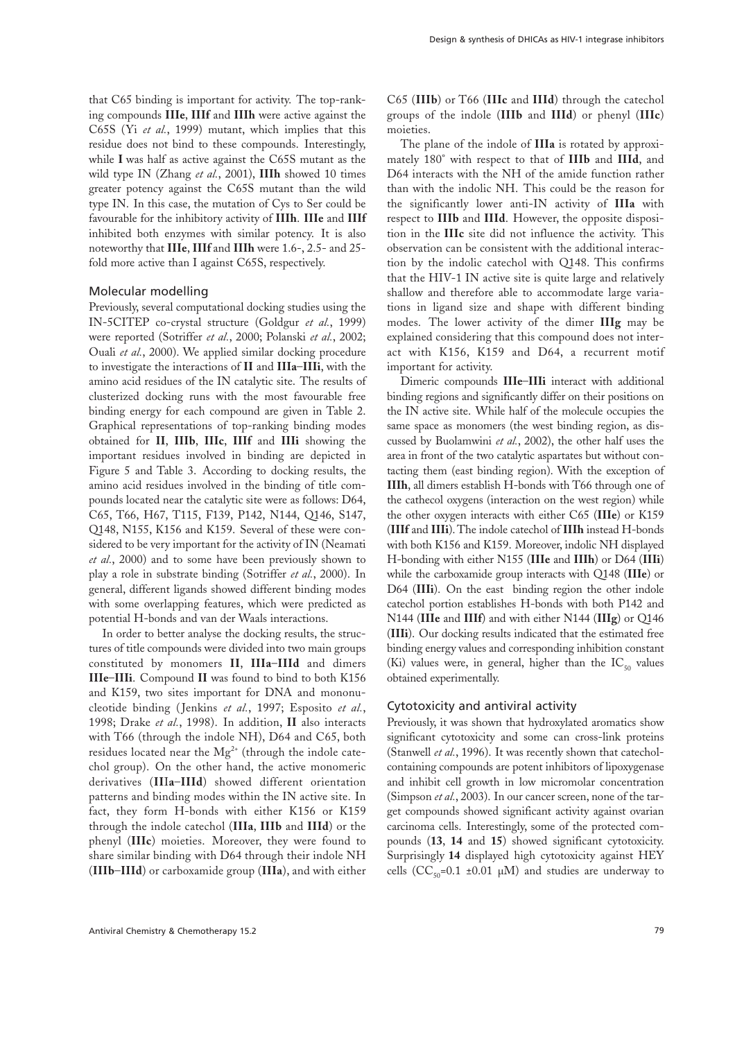that C65 binding is important for activity. The top-ranking compounds **IIIe**, **IIIf** and **IIIh** were active against the C65S (Yi *et al.*, 1999) mutant, which implies that this residue does not bind to these compounds. Interestingly, while **I** was half as active against the C65S mutant as the wild type IN (Zhang *et al.*, 2001), **IIIh** showed 10 times greater potency against the C65S mutant than the wild type IN. In this case, the mutation of Cys to Ser could be favourable for the inhibitory activity of **IIIh**. **IIIe** and **IIIf** inhibited both enzymes with similar potency. It is also noteworthy that **IIIe**, **IIIf** and **IIIh** were 1.6-, 2.5- and 25 fold more active than I against C65S, respectively.

#### Molecular modelling

Previously, several computational docking studies using the IN-5CITEP co-crystal structure (Goldgur *et al.*, 1999) were reported (Sotriffer *et al.*, 2000; Polanski *et al.*, 2002; Ouali *et al.*, 2000). We applied similar docking procedure to investigate the interactions of **II** and **IIIa**–**IIIi**, with the amino acid residues of the IN catalytic site. The results of clusterized docking runs with the most favourable free binding energy for each compound are given in Table 2. Graphical representations of top-ranking binding modes obtained for **II**, **IIIb**, **IIIc**, **IIIf** and **IIIi** showing the important residues involved in binding are depicted in Figure 5 and Table 3. According to docking results, the amino acid residues involved in the binding of title compounds located near the catalytic site were as follows: D64, C65, T66, H67, T115, F139, P142, N144, Q146, S147, Q148, N155, K156 and K159. Several of these were considered to be very important for the activity of IN (Neamati *et al.*, 2000) and to some have been previously shown to play a role in substrate binding (Sotriffer *et al.*, 2000). In general, different ligands showed different binding modes with some overlapping features, which were predicted as potential H-bonds and van der Waals interactions.

In order to better analyse the docking results, the structures of title compounds were divided into two main groups constituted by monomers **II**, **IIIa**–**IIId** and dimers **IIIe**–**IIIi**. Compound **II** was found to bind to both K156 and K159, two sites important for DNA and mononucleotide binding ( Jenkins *et al.*, 1997; Esposito *et al.*, 1998; Drake *et al.*, 1998). In addition, **II** also interacts with T66 (through the indole NH), D64 and C65, both residues located near the  $Mg^{2+}$  (through the indole catechol group). On the other hand, the active monomeric derivatives (**II**I**a**–**IIId**) showed different orientation patterns and binding modes within the IN active site. In fact, they form H-bonds with either K156 or K159 through the indole catechol (**IIIa**, **IIIb** and **IIId**) or the phenyl (**IIIc**) moieties. Moreover, they were found to share similar binding with D64 through their indole NH (**IIIb**–**IIId**) or carboxamide group (**IIIa**), and with either

C65 (**IIIb**) or T66 (**IIIc** and **IIId**) through the catechol groups of the indole (**IIIb** and **IIId**) or phenyl (**IIIc**) moieties.

The plane of the indole of **IIIa** is rotated by approximately 180° with respect to that of **IIIb** and **IIId**, and D64 interacts with the NH of the amide function rather than with the indolic NH. This could be the reason for the significantly lower anti-IN activity of **IIIa** with respect to **IIIb** and **IIId**. However, the opposite disposition in the **IIIc** site did not influence the activity. This observation can be consistent with the additional interaction by the indolic catechol with Q148. This confirms that the HIV-1 IN active site is quite large and relatively shallow and therefore able to accommodate large variations in ligand size and shape with different binding modes. The lower activity of the dimer **IIIg** may be explained considering that this compound does not interact with K156, K159 and D64, a recurrent motif important for activity.

Dimeric compounds **IIIe**–**IIIi** interact with additional binding regions and significantly differ on their positions on the IN active site. While half of the molecule occupies the same space as monomers (the west binding region, as discussed by Buolamwini *et al.*, 2002), the other half uses the area in front of the two catalytic aspartates but without contacting them (east binding region). With the exception of **IIIh**, all dimers establish H-bonds with T66 through one of the cathecol oxygens (interaction on the west region) while the other oxygen interacts with either C65 (**IIIe**) or K159 (**IIIf** and **IIIi**). The indole catechol of **IIIh** instead H-bonds with both K156 and K159. Moreover, indolic NH displayed H-bonding with either N155 (**IIIe** and **IIIh**) or D64 (**IIIi**) while the carboxamide group interacts with Q148 (**IIIe**) or D64 (**IIIi**). On the east binding region the other indole catechol portion establishes H-bonds with both P142 and N144 (**IIIe** and **IIIf**) and with either N144 (**IIIg**) or Q146 (**IIIi**). Our docking results indicated that the estimated free binding energy values and corresponding inhibition constant (Ki) values were, in general, higher than the  $IC_{50}$  values obtained experimentally.

#### Cytotoxicity and antiviral activity

Previously, it was shown that hydroxylated aromatics show significant cytotoxicity and some can cross-link proteins (Stanwell *et al.*, 1996). It was recently shown that catecholcontaining compounds are potent inhibitors of lipoxygenase and inhibit cell growth in low micromolar concentration (Simpson *et al.*, 2003). In our cancer screen, none of the target compounds showed significant activity against ovarian carcinoma cells. Interestingly, some of the protected compounds (**13**, **14** and **15**) showed significant cytotoxicity. Surprisingly **14** displayed high cytotoxicity against HEY cells ( $CC_{50}$ =0.1 ±0.01 µM) and studies are underway to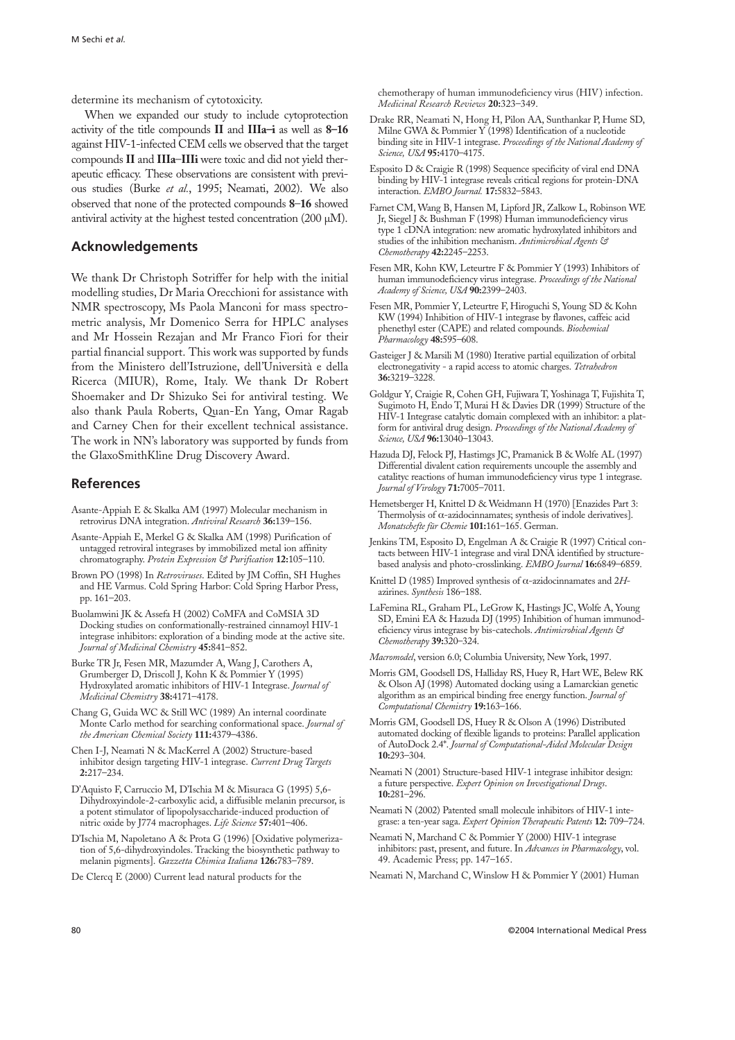determine its mechanism of cytotoxicity.

When we expanded our study to include cytoprotection activity of the title compounds **II** and **IIIa–i** as well as **8–16** against HIV-1-infected CEM cells we observed that the target compounds **II** and **IIIa**–**IIIi** were toxic and did not yield therapeutic efficacy. These observations are consistent with previous studies (Burke *et al.*, 1995; Neamati, 2002). We also observed that none of the protected compounds **8**–**16** showed antiviral activity at the highest tested concentration (200 µM).

#### **Acknowledgements**

We thank Dr Christoph Sotriffer for help with the initial modelling studies, Dr Maria Orecchioni for assistance with NMR spectroscopy, Ms Paola Manconi for mass spectrometric analysis, Mr Domenico Serra for HPLC analyses and Mr Hossein Rezajan and Mr Franco Fiori for their partial financial support. This work was supported by funds from the Ministero dell'Istruzione, dell'Università e della Ricerca (MIUR), Rome, Italy. We thank Dr Robert Shoemaker and Dr Shizuko Sei for antiviral testing. We also thank Paula Roberts, Quan-En Yang, Omar Ragab and Carney Chen for their excellent technical assistance. The work in NN's laboratory was supported by funds from the GlaxoSmithKline Drug Discovery Award.

#### **References**

- Asante-Appiah E & Skalka AM (1997) Molecular mechanism in retrovirus DNA integration. *Antiviral Research* **36:**139–156.
- Asante-Appiah E, Merkel G & Skalka AM (1998) Purification of untagged retroviral integrases by immobilized metal ion affinity chromatography. *Protein Expression & Purification* **12:**105–110.
- Brown PO (1998) In *Retroviruses*. Edited by JM Coffin, SH Hughes and HE Varmus. Cold Spring Harbor: Cold Spring Harbor Press, pp. 161–203.
- Buolamwini JK & Assefa H (2002) CoMFA and CoMSIA 3D Docking studies on conformationally-restrained cinnamoyl HIV-1 integrase inhibitors: exploration of a binding mode at the active site. *Journal of Medicinal Chemistry* **45:**841–852.
- Burke TR Jr, Fesen MR, Mazumder A, Wang J, Carothers A, Grumberger D, Driscoll J, Kohn K & Pommier Y (1995) Hydroxylated aromatic inhibitors of HIV-1 Integrase. *Journal of Medicinal Chemistry* **38:**4171–4178.
- Chang G, Guida WC & Still WC (1989) An internal coordinate Monte Carlo method for searching conformational space. *Journal of the American Chemical Society* **111:**4379–4386.
- Chen I-J, Neamati N & MacKerrel A (2002) Structure-based inhibitor design targeting HIV-1 integrase. *Current Drug Targets* **2:**217–234.
- D'Aquisto F, Carruccio M, D'Ischia M & Misuraca G (1995) 5,6- Dihydroxyindole-2-carboxylic acid, a diffusible melanin precursor, is a potent stimulator of lipopolysaccharide-induced production of nitric oxide by J774 macrophages. *Life Science* **57:**401–406.
- D'Ischia M, Napoletano A & Prota G (1996) [Oxidative polymerization of 5,6-dihydroxyindoles. Tracking the biosynthetic pathway to melanin pigments]. *Gazzetta Chimica Italiana* **126:**783–789.
- De Clercq E (2000) Current lead natural products for the

chemotherapy of human immunodeficiency virus (HIV) infection. *Medicinal Research Reviews* **20:**323–349.

- Drake RR, Neamati N, Hong H, Pilon AA, Sunthankar P, Hume SD, Milne GWA & Pommier Y (1998) Identification of a nucleotide binding site in HIV-1 integrase. *Proceedings of the National Academy of Science, USA* **95:**4170–4175.
- Esposito D & Craigie R (1998) Sequence specificity of viral end DNA binding by HIV-1 integrase reveals critical regions for protein-DNA interaction. *EMBO Journal.* **17:**5832–5843.
- Farnet CM, Wang B, Hansen M, Lipford JR, Zalkow L, Robinson WE Jr, Siegel J & Bushman F (1998) Human immunodeficiency virus type 1 cDNA integration: new aromatic hydroxylated inhibitors and studies of the inhibition mechanism. *Antimicrobical Agents & Chemotherapy* **42:**2245–2253.
- Fesen MR, Kohn KW, Leteurtre F & Pommier Y (1993) Inhibitors of human immunodeficiency virus integrase. *Proceedings of the National Academy of Science, USA* **90:**2399–2403.
- Fesen MR, Pommier Y, Leteurtre F, Hiroguchi S, Young SD & Kohn KW (1994) Inhibition of HIV-1 integrase by flavones, caffeic acid phenethyl ester (CAPE) and related compounds. *Biochemical Pharmacology* **48:**595–608.
- Gasteiger J & Marsili M (1980) Iterative partial equilization of orbital electronegativity - a rapid access to atomic charges. *Tetrahedron* **36:**3219–3228.
- Goldgur Y, Craigie R, Cohen GH, Fujiwara T, Yoshinaga T, Fujishita T, Sugimoto H, Endo T, Murai H & Davies DR (1999) Structure of the HIV-1 Integrase catalytic domain complexed with an inhibitor: a platform for antiviral drug design. *Proceedings of the National Academy of Science, USA* **96:**13040–13043.
- Hazuda DJ, Felock PJ, Hastimgs JC, Pramanick B & Wolfe AL (1997) Differential divalent cation requirements uncouple the assembly and catalityc reactions of human immunodeficiency virus type 1 integrase. *Journal of Virology* **71:**7005–7011.
- Hemetsberger H, Knittel D & Weidmann H (1970) [Enazides Part 3: Thermolysis of α-azidocinnamates; synthesis of indole derivatives]. *Monatschefte für Chemie* **101:**161–165. German.
- Jenkins TM, Esposito D, Engelman A & Craigie R (1997) Critical contacts between HIV-1 integrase and viral DNA identified by structurebased analysis and photo-crosslinking. *EMBO Journal* **16:**6849–6859.
- Knittel D (1985) Improved synthesis of α-azidocinnamates and 2*H*azirines. *Synthesis* 186–188.
- LaFemina RL, Graham PL, LeGrow K, Hastings JC, Wolfe A, Young SD, Emini EA & Hazuda DJ (1995) Inhibition of human immunodeficiency virus integrase by bis-catechols. *Antimicrobical Agents & Chemotherapy* **39:**320–324.
- *Macromodel*, version 6.0; Columbia University, New York, 1997.
- Morris GM, Goodsell DS, Halliday RS, Huey R, Hart WE, Belew RK & Olson AJ (1998) Automated docking using a Lamarckian genetic algorithm as an empirical binding free energy function. *Journal of Computational Chemistry* **19:**163–166.
- Morris GM, Goodsell DS, Huey R & Olson A (1996) Distributed automated docking of flexible ligands to proteins: Parallel application of AutoDock 2.4\*. *Journal of Computational-Aided Molecular Design* **10:**293–304.
- Neamati N (2001) Structure-based HIV-1 integrase inhibitor design: a future perspective. *Expert Opinion on Investigational Drugs*. **10:**281–296.
- Neamati N (2002) Patented small molecule inhibitors of HIV-1 integrase: a ten-year saga. *Expert Opinion Therapeutic Patents* **12:** 709–724.
- Neamati N, Marchand C & Pommier Y (2000) HIV-1 integrase inhibitors: past, present, and future. In *Advances in Pharmacology*, vol. 49. Academic Press; pp. 147–165.
- Neamati N, Marchand C, Winslow H & Pommier Y (2001) Human